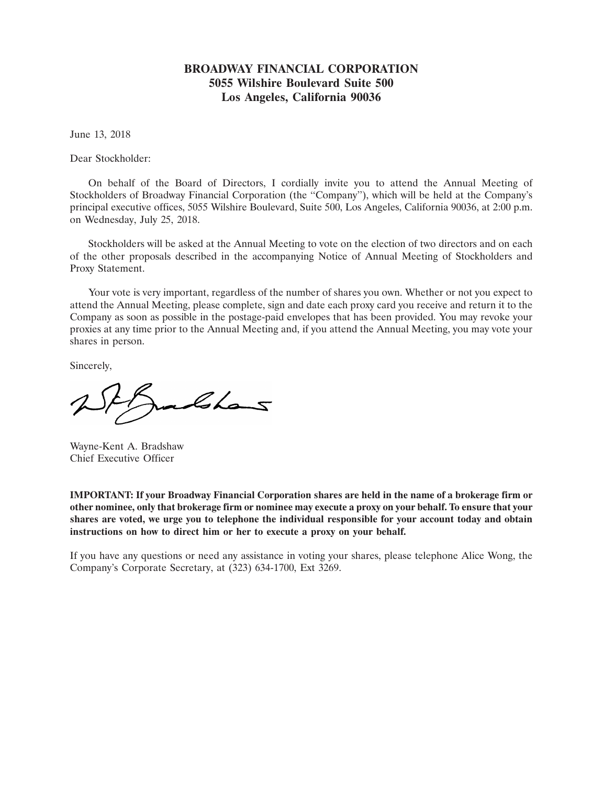# **BROADWAY FINANCIAL CORPORATION 5055 Wilshire Boulevard Suite 500 Los Angeles, California 90036**

June 13, 2018

Dear Stockholder:

On behalf of the Board of Directors, I cordially invite you to attend the Annual Meeting of Stockholders of Broadway Financial Corporation (the ''Company''), which will be held at the Company's principal executive offices, 5055 Wilshire Boulevard, Suite 500, Los Angeles, California 90036, at 2:00 p.m. on Wednesday, July 25, 2018.

Stockholders will be asked at the Annual Meeting to vote on the election of two directors and on each of the other proposals described in the accompanying Notice of Annual Meeting of Stockholders and Proxy Statement.

Your vote is very important, regardless of the number of shares you own. Whether or not you expect to attend the Annual Meeting, please complete, sign and date each proxy card you receive and return it to the Company as soon as possible in the postage-paid envelopes that has been provided. You may revoke your proxies at any time prior to the Annual Meeting and, if you attend the Annual Meeting, you may vote your shares in person.

Sincerely,

Ishans

Wayne-Kent A. Bradshaw Chief Executive Officer

**IMPORTANT: If your Broadway Financial Corporation shares are held in the name of a brokerage firm or other nominee, only that brokerage firm or nominee may execute a proxy on your behalf. To ensure that your shares are voted, we urge you to telephone the individual responsible for your account today and obtain instructions on how to direct him or her to execute a proxy on your behalf.**

If you have any questions or need any assistance in voting your shares, please telephone Alice Wong, the Company's Corporate Secretary, at (323) 634-1700, Ext 3269.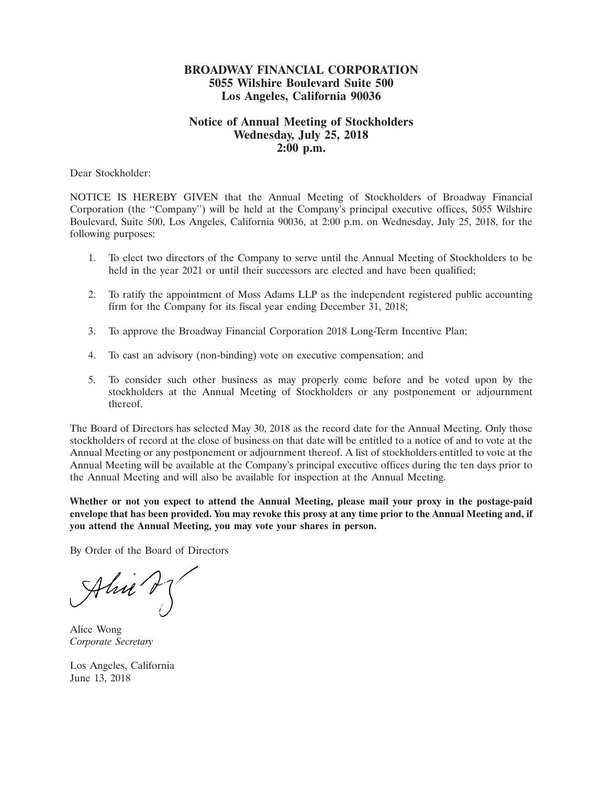# **BROADWAY FINANCIAL CORPORATION 5055 Wilshire Boulevard Suite 500 Los Angeles, California 90036**

# **Notice of Annual Meeting of Stockholders Wednesday, July 25, 2018 2:00 p.m.**

Dear Stockholder:

NOTICE IS HEREBY GIVEN that the Annual Meeting of Stockholders of Broadway Financial Corporation (the ''Company'') will be held at the Company's principal executive offices, 5055 Wilshire Boulevard, Suite 500, Los Angeles, California 90036, at 2:00 p.m. on Wednesday, July 25, 2018, for the following purposes:

- 1. To elect two directors of the Company to serve until the Annual Meeting of Stockholders to be held in the year 2021 or until their successors are elected and have been qualified;
- 2. To ratify the appointment of Moss Adams LLP as the independent registered public accounting firm for the Company for its fiscal year ending December 31, 2018;
- 3. To approve the Broadway Financial Corporation 2018 Long-Term Incentive Plan;
- 4. To cast an advisory (non-binding) vote on executive compensation; and
- 5. To consider such other business as may properly come before and be voted upon by the stockholders at the Annual Meeting of Stockholders or any postponement or adjournment thereof.

The Board of Directors has selected May 30, 2018 as the record date for the Annual Meeting. Only those stockholders of record at the close of business on that date will be entitled to a notice of and to vote at the Annual Meeting or any postponement or adjournment thereof. A list of stockholders entitled to vote at the Annual Meeting will be available at the Company's principal executive offices during the ten days prior to the Annual Meeting and will also be available for inspection at the Annual Meeting.

**Whether or not you expect to attend the Annual Meeting, please mail your proxy in the postage-paid envelope that has been provided. You may revoke this proxy at any time prior to the Annual Meeting and, if you attend the Annual Meeting, you may vote your shares in person.**

By Order of the Board of Directors

 $\mathcal{A}$ hu $\left(\frac{1}{2}\right)^{\ell}$  $\overline{\phantom{a}}$ 

Alice Wong *Corporate Secretary*

Los Angeles, California June 13, 2018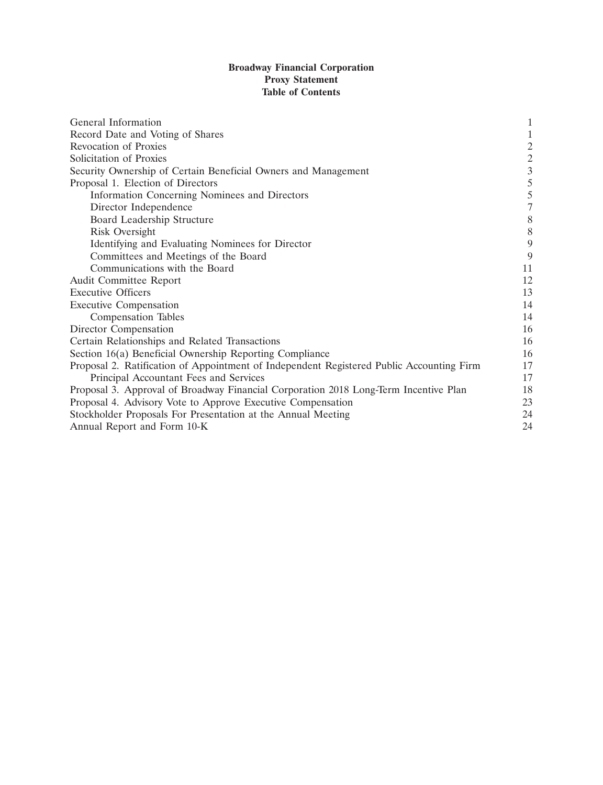# **Broadway Financial Corporation Proxy Statement Table of Contents**

| General Information                                                                      | $\mathbf{1}$                               |
|------------------------------------------------------------------------------------------|--------------------------------------------|
| Record Date and Voting of Shares                                                         |                                            |
| Revocation of Proxies                                                                    |                                            |
| Solicitation of Proxies                                                                  |                                            |
| Security Ownership of Certain Beneficial Owners and Management                           | $\begin{array}{c} 2 \\ 2 \\ 3 \end{array}$ |
| Proposal 1. Election of Directors                                                        | 5                                          |
| Information Concerning Nominees and Directors                                            | 5                                          |
| Director Independence                                                                    | $\overline{7}$                             |
| Board Leadership Structure                                                               | 8                                          |
| Risk Oversight                                                                           | 8                                          |
| Identifying and Evaluating Nominees for Director                                         | 9                                          |
| Committees and Meetings of the Board                                                     | 9                                          |
| Communications with the Board                                                            | 11                                         |
| Audit Committee Report                                                                   | 12                                         |
| <b>Executive Officers</b>                                                                | 13                                         |
| <b>Executive Compensation</b>                                                            | 14                                         |
| <b>Compensation Tables</b>                                                               | 14                                         |
| Director Compensation                                                                    | 16                                         |
| Certain Relationships and Related Transactions                                           | 16                                         |
| Section 16(a) Beneficial Ownership Reporting Compliance                                  | 16                                         |
| Proposal 2. Ratification of Appointment of Independent Registered Public Accounting Firm | 17                                         |
| Principal Accountant Fees and Services                                                   | 17                                         |
| Proposal 3. Approval of Broadway Financial Corporation 2018 Long-Term Incentive Plan     | 18                                         |
| Proposal 4. Advisory Vote to Approve Executive Compensation                              | 23                                         |
| Stockholder Proposals For Presentation at the Annual Meeting                             | 24                                         |
| Annual Report and Form 10-K                                                              | 24                                         |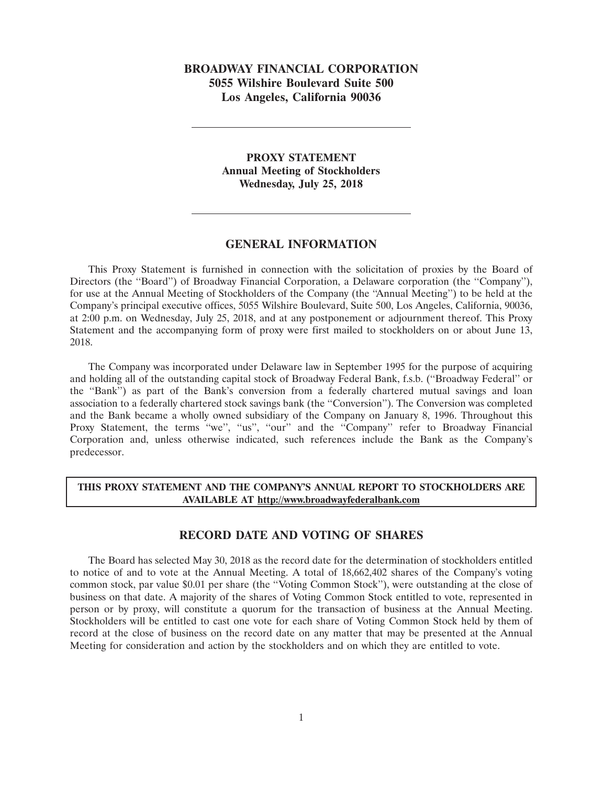# **BROADWAY FINANCIAL CORPORATION 5055 Wilshire Boulevard Suite 500 Los Angeles, California 90036**

# **PROXY STATEMENT Annual Meeting of Stockholders Wednesday, July 25, 2018**

## **GENERAL INFORMATION**

This Proxy Statement is furnished in connection with the solicitation of proxies by the Board of Directors (the ''Board'') of Broadway Financial Corporation, a Delaware corporation (the ''Company''), for use at the Annual Meeting of Stockholders of the Company (the ''Annual Meeting'') to be held at the Company's principal executive offices, 5055 Wilshire Boulevard, Suite 500, Los Angeles, California, 90036, at 2:00 p.m. on Wednesday, July 25, 2018, and at any postponement or adjournment thereof. This Proxy Statement and the accompanying form of proxy were first mailed to stockholders on or about June 13, 2018.

The Company was incorporated under Delaware law in September 1995 for the purpose of acquiring and holding all of the outstanding capital stock of Broadway Federal Bank, f.s.b. (''Broadway Federal'' or the ''Bank'') as part of the Bank's conversion from a federally chartered mutual savings and loan association to a federally chartered stock savings bank (the ''Conversion''). The Conversion was completed and the Bank became a wholly owned subsidiary of the Company on January 8, 1996. Throughout this Proxy Statement, the terms "we", "us", "our" and the "Company" refer to Broadway Financial Corporation and, unless otherwise indicated, such references include the Bank as the Company's predecessor.

## **THIS PROXY STATEMENT AND THE COMPANY'S ANNUAL REPORT TO STOCKHOLDERS ARE AVAILABLE AT http://www.broadwayfederalbank.com**

## **RECORD DATE AND VOTING OF SHARES**

The Board has selected May 30, 2018 as the record date for the determination of stockholders entitled to notice of and to vote at the Annual Meeting. A total of 18,662,402 shares of the Company's voting common stock, par value \$0.01 per share (the ''Voting Common Stock''), were outstanding at the close of business on that date. A majority of the shares of Voting Common Stock entitled to vote, represented in person or by proxy, will constitute a quorum for the transaction of business at the Annual Meeting. Stockholders will be entitled to cast one vote for each share of Voting Common Stock held by them of record at the close of business on the record date on any matter that may be presented at the Annual Meeting for consideration and action by the stockholders and on which they are entitled to vote.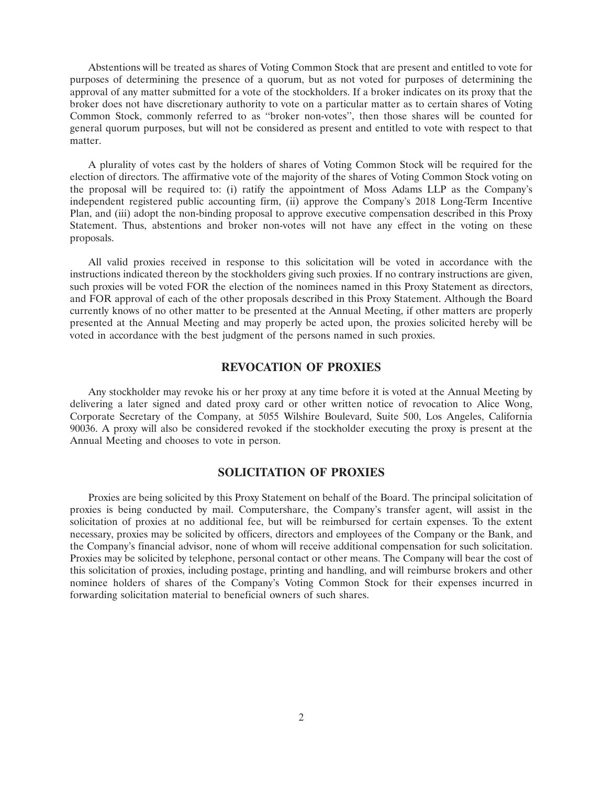Abstentions will be treated as shares of Voting Common Stock that are present and entitled to vote for purposes of determining the presence of a quorum, but as not voted for purposes of determining the approval of any matter submitted for a vote of the stockholders. If a broker indicates on its proxy that the broker does not have discretionary authority to vote on a particular matter as to certain shares of Voting Common Stock, commonly referred to as ''broker non-votes'', then those shares will be counted for general quorum purposes, but will not be considered as present and entitled to vote with respect to that matter.

A plurality of votes cast by the holders of shares of Voting Common Stock will be required for the election of directors. The affirmative vote of the majority of the shares of Voting Common Stock voting on the proposal will be required to: (i) ratify the appointment of Moss Adams LLP as the Company's independent registered public accounting firm, (ii) approve the Company's 2018 Long-Term Incentive Plan, and (iii) adopt the non-binding proposal to approve executive compensation described in this Proxy Statement. Thus, abstentions and broker non-votes will not have any effect in the voting on these proposals.

All valid proxies received in response to this solicitation will be voted in accordance with the instructions indicated thereon by the stockholders giving such proxies. If no contrary instructions are given, such proxies will be voted FOR the election of the nominees named in this Proxy Statement as directors, and FOR approval of each of the other proposals described in this Proxy Statement. Although the Board currently knows of no other matter to be presented at the Annual Meeting, if other matters are properly presented at the Annual Meeting and may properly be acted upon, the proxies solicited hereby will be voted in accordance with the best judgment of the persons named in such proxies.

## **REVOCATION OF PROXIES**

Any stockholder may revoke his or her proxy at any time before it is voted at the Annual Meeting by delivering a later signed and dated proxy card or other written notice of revocation to Alice Wong, Corporate Secretary of the Company, at 5055 Wilshire Boulevard, Suite 500, Los Angeles, California 90036. A proxy will also be considered revoked if the stockholder executing the proxy is present at the Annual Meeting and chooses to vote in person.

# **SOLICITATION OF PROXIES**

Proxies are being solicited by this Proxy Statement on behalf of the Board. The principal solicitation of proxies is being conducted by mail. Computershare, the Company's transfer agent, will assist in the solicitation of proxies at no additional fee, but will be reimbursed for certain expenses. To the extent necessary, proxies may be solicited by officers, directors and employees of the Company or the Bank, and the Company's financial advisor, none of whom will receive additional compensation for such solicitation. Proxies may be solicited by telephone, personal contact or other means. The Company will bear the cost of this solicitation of proxies, including postage, printing and handling, and will reimburse brokers and other nominee holders of shares of the Company's Voting Common Stock for their expenses incurred in forwarding solicitation material to beneficial owners of such shares.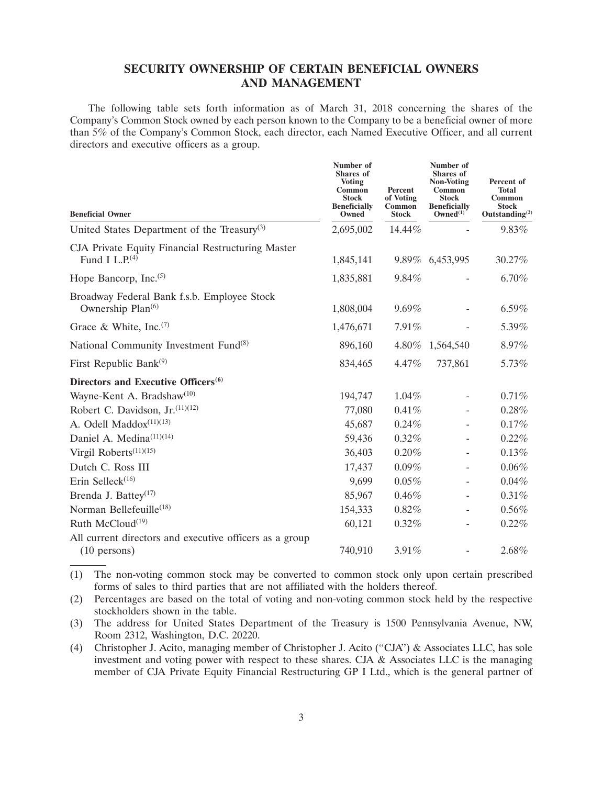# **SECURITY OWNERSHIP OF CERTAIN BENEFICIAL OWNERS AND MANAGEMENT**

The following table sets forth information as of March 31, 2018 concerning the shares of the Company's Common Stock owned by each person known to the Company to be a beneficial owner of more than 5% of the Company's Common Stock, each director, each Named Executive Officer, and all current directors and executive officers as a group.

| <b>Beneficial Owner</b>                                                           | Number of<br>Shares of<br><b>Voting</b><br>Common<br><b>Stock</b><br><b>Beneficially</b><br>Owned | Percent<br>of Voting<br>Common<br><b>Stock</b> | Number of<br><b>Shares</b> of<br><b>Non-Voting</b><br>Common<br><b>Stock</b><br><b>Beneficially</b><br>Owned $^{(1)}$ | Percent of<br><b>Total</b><br>Common<br><b>Stock</b><br>Outstanding $^{(2)}$ |
|-----------------------------------------------------------------------------------|---------------------------------------------------------------------------------------------------|------------------------------------------------|-----------------------------------------------------------------------------------------------------------------------|------------------------------------------------------------------------------|
| United States Department of the Treasury <sup>(3)</sup>                           | 2,695,002                                                                                         | 14.44%                                         |                                                                                                                       | 9.83%                                                                        |
| CJA Private Equity Financial Restructuring Master<br>Fund I L.P. $(4)$            | 1,845,141                                                                                         |                                                | 9.89% 6,453,995                                                                                                       | 30.27%                                                                       |
| Hope Bancorp, Inc. $(5)$                                                          | 1,835,881                                                                                         | 9.84%                                          |                                                                                                                       | 6.70%                                                                        |
| Broadway Federal Bank f.s.b. Employee Stock<br>Ownership Plan <sup>(6)</sup>      | 1,808,004                                                                                         | 9.69%                                          |                                                                                                                       | 6.59%                                                                        |
| Grace & White, Inc. <sup>(7)</sup>                                                | 1,476,671                                                                                         | 7.91%                                          |                                                                                                                       | 5.39%                                                                        |
| National Community Investment Fund <sup>(8)</sup>                                 | 896,160                                                                                           |                                                | 4.80% 1,564,540                                                                                                       | 8.97%                                                                        |
| First Republic Bank $(9)$                                                         | 834,465                                                                                           | 4.47%                                          | 737,861                                                                                                               | 5.73%                                                                        |
| Directors and Executive Officers <sup>(6)</sup>                                   |                                                                                                   |                                                |                                                                                                                       |                                                                              |
| Wayne-Kent A. Bradshaw <sup>(10)</sup>                                            | 194,747                                                                                           | 1.04%                                          | $\overline{\phantom{a}}$                                                                                              | 0.71%                                                                        |
| Robert C. Davidson, $Jr^{(11)(12)}$                                               | 77,080                                                                                            | 0.41%                                          |                                                                                                                       | 0.28%                                                                        |
| A. Odell Maddox <sup>(11)(13)</sup>                                               | 45,687                                                                                            | 0.24%                                          |                                                                                                                       | 0.17%                                                                        |
| Daniel A. Medina <sup>(11)(14)</sup>                                              | 59,436                                                                                            | 0.32%                                          |                                                                                                                       | 0.22%                                                                        |
| Virgil Roberts <sup>(11)(15)</sup>                                                | 36,403                                                                                            | 0.20%                                          |                                                                                                                       | 0.13%                                                                        |
| Dutch C. Ross III                                                                 | 17,437                                                                                            | 0.09%                                          |                                                                                                                       | 0.06%                                                                        |
| Erin Selleck $(16)$                                                               | 9,699                                                                                             | 0.05%                                          |                                                                                                                       | 0.04%                                                                        |
| Brenda J. Battey <sup>(17)</sup>                                                  | 85,967                                                                                            | 0.46%                                          |                                                                                                                       | 0.31%                                                                        |
| Norman Bellefeuille <sup>(18)</sup>                                               | 154,333                                                                                           | $0.82\%$                                       | $\overline{\phantom{0}}$                                                                                              | $0.56\%$                                                                     |
| Ruth McCloud <sup>(19)</sup>                                                      | 60,121                                                                                            | 0.32%                                          |                                                                                                                       | 0.22%                                                                        |
| All current directors and executive officers as a group<br>$(10 \text{ persons})$ | 740,910                                                                                           | 3.91%                                          |                                                                                                                       | 2.68%                                                                        |

(1) The non-voting common stock may be converted to common stock only upon certain prescribed forms of sales to third parties that are not affiliated with the holders thereof.

(2) Percentages are based on the total of voting and non-voting common stock held by the respective stockholders shown in the table.

(3) The address for United States Department of the Treasury is 1500 Pennsylvania Avenue, NW, Room 2312, Washington, D.C. 20220.

(4) Christopher J. Acito, managing member of Christopher J. Acito (''CJA'') & Associates LLC, has sole investment and voting power with respect to these shares. CJA & Associates LLC is the managing member of CJA Private Equity Financial Restructuring GP I Ltd., which is the general partner of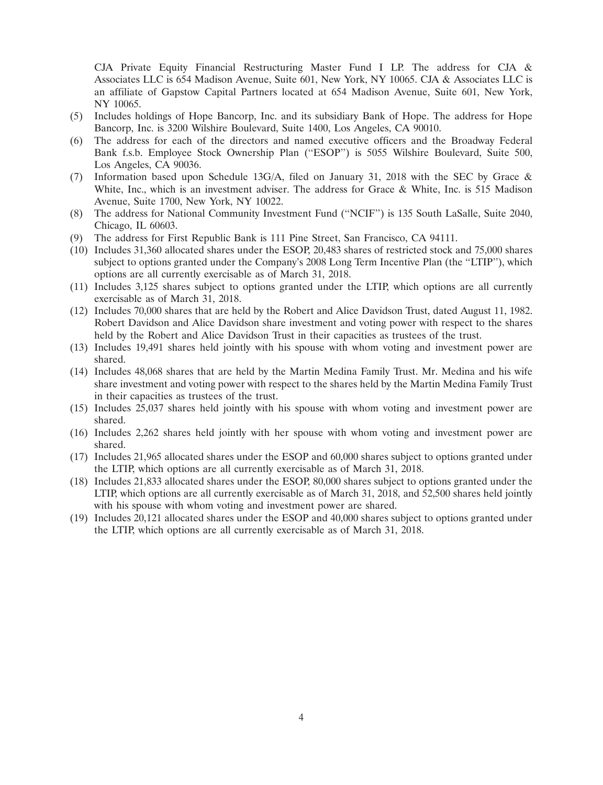CJA Private Equity Financial Restructuring Master Fund I LP. The address for CJA  $\&$ Associates LLC is 654 Madison Avenue, Suite 601, New York, NY 10065. CJA & Associates LLC is an affiliate of Gapstow Capital Partners located at 654 Madison Avenue, Suite 601, New York, NY 10065.

- (5) Includes holdings of Hope Bancorp, Inc. and its subsidiary Bank of Hope. The address for Hope Bancorp, Inc. is 3200 Wilshire Boulevard, Suite 1400, Los Angeles, CA 90010.
- (6) The address for each of the directors and named executive officers and the Broadway Federal Bank f.s.b. Employee Stock Ownership Plan ("ESOP") is 5055 Wilshire Boulevard, Suite 500, Los Angeles, CA 90036.
- (7) Information based upon Schedule 13G/A, filed on January 31, 2018 with the SEC by Grace & White, Inc., which is an investment adviser. The address for Grace & White, Inc. is 515 Madison Avenue, Suite 1700, New York, NY 10022.
- (8) The address for National Community Investment Fund (''NCIF'') is 135 South LaSalle, Suite 2040, Chicago, IL 60603.
- (9) The address for First Republic Bank is 111 Pine Street, San Francisco, CA 94111.
- (10) Includes 31,360 allocated shares under the ESOP, 20,483 shares of restricted stock and 75,000 shares subject to options granted under the Company's 2008 Long Term Incentive Plan (the "LTIP"), which options are all currently exercisable as of March 31, 2018.
- (11) Includes 3,125 shares subject to options granted under the LTIP, which options are all currently exercisable as of March 31, 2018.
- (12) Includes 70,000 shares that are held by the Robert and Alice Davidson Trust, dated August 11, 1982. Robert Davidson and Alice Davidson share investment and voting power with respect to the shares held by the Robert and Alice Davidson Trust in their capacities as trustees of the trust.
- (13) Includes 19,491 shares held jointly with his spouse with whom voting and investment power are shared.
- (14) Includes 48,068 shares that are held by the Martin Medina Family Trust. Mr. Medina and his wife share investment and voting power with respect to the shares held by the Martin Medina Family Trust in their capacities as trustees of the trust.
- (15) Includes 25,037 shares held jointly with his spouse with whom voting and investment power are shared.
- (16) Includes 2,262 shares held jointly with her spouse with whom voting and investment power are shared.
- (17) Includes 21,965 allocated shares under the ESOP and 60,000 shares subject to options granted under the LTIP, which options are all currently exercisable as of March 31, 2018.
- (18) Includes 21,833 allocated shares under the ESOP, 80,000 shares subject to options granted under the LTIP, which options are all currently exercisable as of March 31, 2018, and 52,500 shares held jointly with his spouse with whom voting and investment power are shared.
- (19) Includes 20,121 allocated shares under the ESOP and 40,000 shares subject to options granted under the LTIP, which options are all currently exercisable as of March 31, 2018.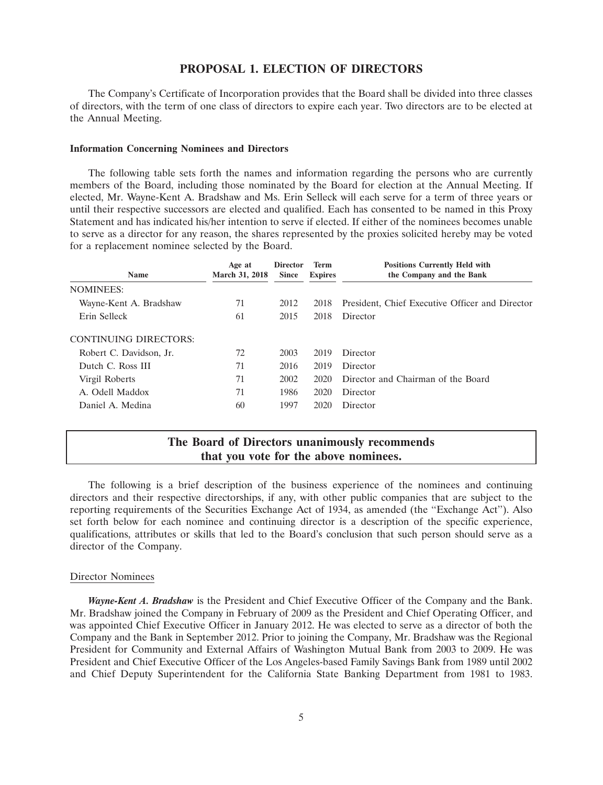# **PROPOSAL 1. ELECTION OF DIRECTORS**

The Company's Certificate of Incorporation provides that the Board shall be divided into three classes of directors, with the term of one class of directors to expire each year. Two directors are to be elected at the Annual Meeting.

#### **Information Concerning Nominees and Directors**

The following table sets forth the names and information regarding the persons who are currently members of the Board, including those nominated by the Board for election at the Annual Meeting. If elected, Mr. Wayne-Kent A. Bradshaw and Ms. Erin Selleck will each serve for a term of three years or until their respective successors are elected and qualified. Each has consented to be named in this Proxy Statement and has indicated his/her intention to serve if elected. If either of the nominees becomes unable to serve as a director for any reason, the shares represented by the proxies solicited hereby may be voted for a replacement nominee selected by the Board.

| <b>Name</b>             | Age at<br><b>March 31, 2018</b> | <b>Director</b><br><b>Since</b> | <b>Term</b><br><b>Expires</b> | <b>Positions Currently Held with</b><br>the Company and the Bank |
|-------------------------|---------------------------------|---------------------------------|-------------------------------|------------------------------------------------------------------|
| <b>NOMINEES:</b>        |                                 |                                 |                               |                                                                  |
| Wayne-Kent A. Bradshaw  | 71                              | 2012                            | 2018                          | President, Chief Executive Officer and Director                  |
| Erin Selleck            | 61                              | 2015                            | 2018                          | Director                                                         |
| CONTINUING DIRECTORS:   |                                 |                                 |                               |                                                                  |
| Robert C. Davidson, Jr. | 72                              | 2003                            | 2019                          | Director                                                         |
| Dutch C. Ross III       | 71                              | 2016                            | 2019                          | Director                                                         |
| Virgil Roberts          | 71                              | 2002                            | 2020                          | Director and Chairman of the Board                               |
| A. Odell Maddox         | 71                              | 1986                            | 2020                          | Director                                                         |
| Daniel A. Medina        | 60                              | 1997                            | 2020                          | Director                                                         |

# **The Board of Directors unanimously recommends that you vote for the above nominees.**

The following is a brief description of the business experience of the nominees and continuing directors and their respective directorships, if any, with other public companies that are subject to the reporting requirements of the Securities Exchange Act of 1934, as amended (the ''Exchange Act''). Also set forth below for each nominee and continuing director is a description of the specific experience, qualifications, attributes or skills that led to the Board's conclusion that such person should serve as a director of the Company.

#### Director Nominees

*Wayne-Kent A. Bradshaw* is the President and Chief Executive Officer of the Company and the Bank. Mr. Bradshaw joined the Company in February of 2009 as the President and Chief Operating Officer, and was appointed Chief Executive Officer in January 2012. He was elected to serve as a director of both the Company and the Bank in September 2012. Prior to joining the Company, Mr. Bradshaw was the Regional President for Community and External Affairs of Washington Mutual Bank from 2003 to 2009. He was President and Chief Executive Officer of the Los Angeles-based Family Savings Bank from 1989 until 2002 and Chief Deputy Superintendent for the California State Banking Department from 1981 to 1983.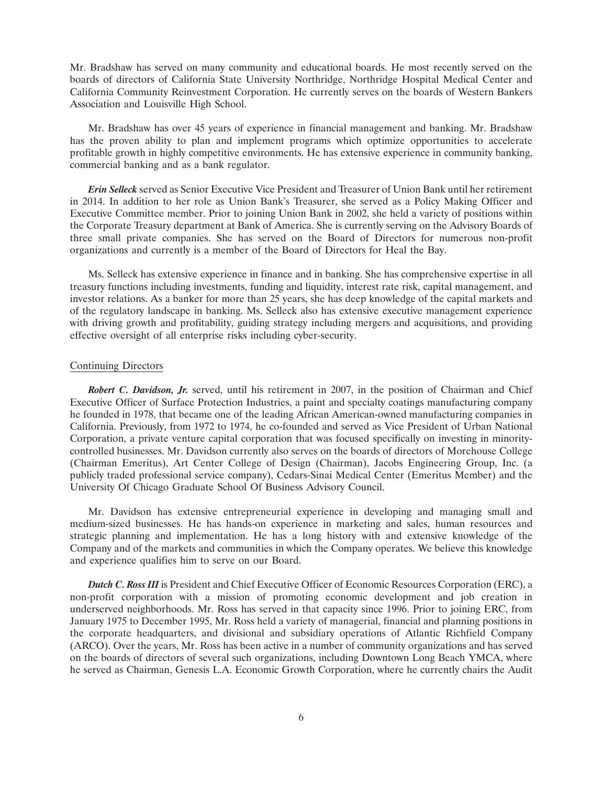Mr. Bradshaw has served on many community and educational boards. He most recently served on the boards of directors of California State University Northridge, Northridge Hospital Medical Center and California Community Reinvestment Corporation. He currently serves on the boards of Western Bankers Association and Louisville High School.

Mr. Bradshaw has over 45 years of experience in financial management and banking. Mr. Bradshaw has the proven ability to plan and implement programs which optimize opportunities to accelerate profitable growth in highly competitive environments. He has extensive experience in community banking, commercial banking and as a bank regulator.

*Erin Selleck* served as Senior Executive Vice President and Treasurer of Union Bank until her retirement in 2014. In addition to her role as Union Bank's Treasurer, she served as a Policy Making Officer and Executive Committee member. Prior to joining Union Bank in 2002, she held a variety of positions within the Corporate Treasury department at Bank of America. She is currently serving on the Advisory Boards of three small private companies. She has served on the Board of Directors for numerous non-profit organizations and currently is a member of the Board of Directors for Heal the Bay.

Ms. Selleck has extensive experience in finance and in banking. She has comprehensive expertise in all treasury functions including investments, funding and liquidity, interest rate risk, capital management, and investor relations. As a banker for more than 25 years, she has deep knowledge of the capital markets and of the regulatory landscape in banking. Ms. Selleck also has extensive executive management experience with driving growth and profitability, guiding strategy including mergers and acquisitions, and providing effective oversight of all enterprise risks including cyber-security.

#### Continuing Directors

*Robert C. Davidson, Jr.* served, until his retirement in 2007, in the position of Chairman and Chief Executive Officer of Surface Protection Industries, a paint and specialty coatings manufacturing company he founded in 1978, that became one of the leading African American-owned manufacturing companies in California. Previously, from 1972 to 1974, he co-founded and served as Vice President of Urban National Corporation, a private venture capital corporation that was focused specifically on investing in minoritycontrolled businesses. Mr. Davidson currently also serves on the boards of directors of Morehouse College (Chairman Emeritus), Art Center College of Design (Chairman), Jacobs Engineering Group, Inc. (a publicly traded professional service company), Cedars-Sinai Medical Center (Emeritus Member) and the University Of Chicago Graduate School Of Business Advisory Council.

Mr. Davidson has extensive entrepreneurial experience in developing and managing small and medium-sized businesses. He has hands-on experience in marketing and sales, human resources and strategic planning and implementation. He has a long history with and extensive knowledge of the Company and of the markets and communities in which the Company operates. We believe this knowledge and experience qualifies him to serve on our Board.

*Dutch C. Ross III* is President and Chief Executive Officer of Economic Resources Corporation (ERC), a non-profit corporation with a mission of promoting economic development and job creation in underserved neighborhoods. Mr. Ross has served in that capacity since 1996. Prior to joining ERC, from January 1975 to December 1995, Mr. Ross held a variety of managerial, financial and planning positions in the corporate headquarters, and divisional and subsidiary operations of Atlantic Richfield Company (ARCO). Over the years, Mr. Ross has been active in a number of community organizations and has served on the boards of directors of several such organizations, including Downtown Long Beach YMCA, where he served as Chairman, Genesis L.A. Economic Growth Corporation, where he currently chairs the Audit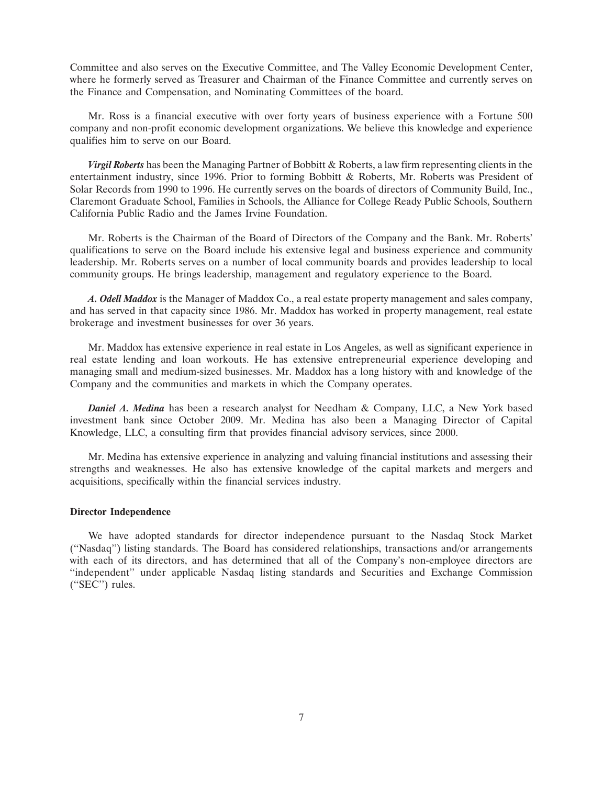Committee and also serves on the Executive Committee, and The Valley Economic Development Center, where he formerly served as Treasurer and Chairman of the Finance Committee and currently serves on the Finance and Compensation, and Nominating Committees of the board.

Mr. Ross is a financial executive with over forty years of business experience with a Fortune 500 company and non-profit economic development organizations. We believe this knowledge and experience qualifies him to serve on our Board.

*Virgil Roberts* has been the Managing Partner of Bobbitt & Roberts, a law firm representing clients in the entertainment industry, since 1996. Prior to forming Bobbitt & Roberts, Mr. Roberts was President of Solar Records from 1990 to 1996. He currently serves on the boards of directors of Community Build, Inc., Claremont Graduate School, Families in Schools, the Alliance for College Ready Public Schools, Southern California Public Radio and the James Irvine Foundation.

Mr. Roberts is the Chairman of the Board of Directors of the Company and the Bank. Mr. Roberts' qualifications to serve on the Board include his extensive legal and business experience and community leadership. Mr. Roberts serves on a number of local community boards and provides leadership to local community groups. He brings leadership, management and regulatory experience to the Board.

*A. Odell Maddox* is the Manager of Maddox Co., a real estate property management and sales company, and has served in that capacity since 1986. Mr. Maddox has worked in property management, real estate brokerage and investment businesses for over 36 years.

Mr. Maddox has extensive experience in real estate in Los Angeles, as well as significant experience in real estate lending and loan workouts. He has extensive entrepreneurial experience developing and managing small and medium-sized businesses. Mr. Maddox has a long history with and knowledge of the Company and the communities and markets in which the Company operates.

*Daniel A. Medina* has been a research analyst for Needham & Company, LLC, a New York based investment bank since October 2009. Mr. Medina has also been a Managing Director of Capital Knowledge, LLC, a consulting firm that provides financial advisory services, since 2000.

Mr. Medina has extensive experience in analyzing and valuing financial institutions and assessing their strengths and weaknesses. He also has extensive knowledge of the capital markets and mergers and acquisitions, specifically within the financial services industry.

#### **Director Independence**

We have adopted standards for director independence pursuant to the Nasdaq Stock Market (''Nasdaq'') listing standards. The Board has considered relationships, transactions and/or arrangements with each of its directors, and has determined that all of the Company's non-employee directors are ''independent'' under applicable Nasdaq listing standards and Securities and Exchange Commission (''SEC'') rules.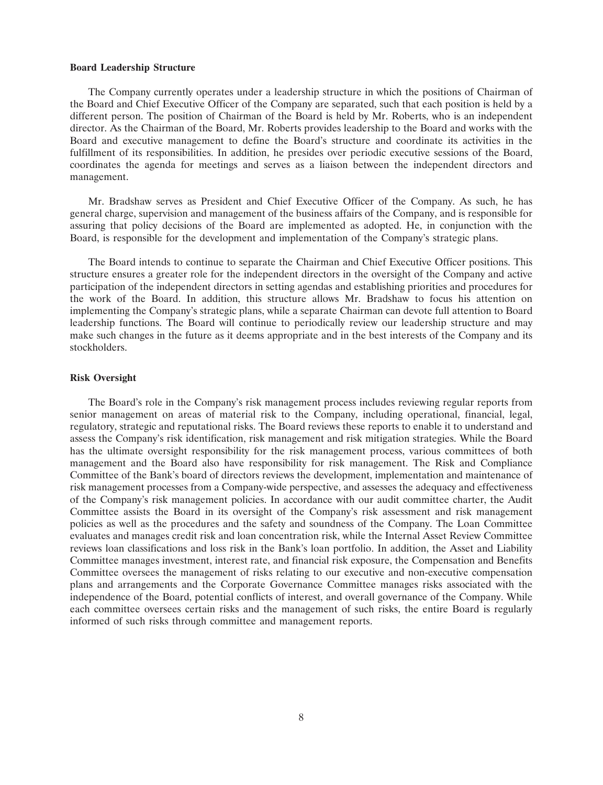#### **Board Leadership Structure**

The Company currently operates under a leadership structure in which the positions of Chairman of the Board and Chief Executive Officer of the Company are separated, such that each position is held by a different person. The position of Chairman of the Board is held by Mr. Roberts, who is an independent director. As the Chairman of the Board, Mr. Roberts provides leadership to the Board and works with the Board and executive management to define the Board's structure and coordinate its activities in the fulfillment of its responsibilities. In addition, he presides over periodic executive sessions of the Board, coordinates the agenda for meetings and serves as a liaison between the independent directors and management.

Mr. Bradshaw serves as President and Chief Executive Officer of the Company. As such, he has general charge, supervision and management of the business affairs of the Company, and is responsible for assuring that policy decisions of the Board are implemented as adopted. He, in conjunction with the Board, is responsible for the development and implementation of the Company's strategic plans.

The Board intends to continue to separate the Chairman and Chief Executive Officer positions. This structure ensures a greater role for the independent directors in the oversight of the Company and active participation of the independent directors in setting agendas and establishing priorities and procedures for the work of the Board. In addition, this structure allows Mr. Bradshaw to focus his attention on implementing the Company's strategic plans, while a separate Chairman can devote full attention to Board leadership functions. The Board will continue to periodically review our leadership structure and may make such changes in the future as it deems appropriate and in the best interests of the Company and its stockholders.

#### **Risk Oversight**

The Board's role in the Company's risk management process includes reviewing regular reports from senior management on areas of material risk to the Company, including operational, financial, legal, regulatory, strategic and reputational risks. The Board reviews these reports to enable it to understand and assess the Company's risk identification, risk management and risk mitigation strategies. While the Board has the ultimate oversight responsibility for the risk management process, various committees of both management and the Board also have responsibility for risk management. The Risk and Compliance Committee of the Bank's board of directors reviews the development, implementation and maintenance of risk management processes from a Company-wide perspective, and assesses the adequacy and effectiveness of the Company's risk management policies. In accordance with our audit committee charter, the Audit Committee assists the Board in its oversight of the Company's risk assessment and risk management policies as well as the procedures and the safety and soundness of the Company. The Loan Committee evaluates and manages credit risk and loan concentration risk, while the Internal Asset Review Committee reviews loan classifications and loss risk in the Bank's loan portfolio. In addition, the Asset and Liability Committee manages investment, interest rate, and financial risk exposure, the Compensation and Benefits Committee oversees the management of risks relating to our executive and non-executive compensation plans and arrangements and the Corporate Governance Committee manages risks associated with the independence of the Board, potential conflicts of interest, and overall governance of the Company. While each committee oversees certain risks and the management of such risks, the entire Board is regularly informed of such risks through committee and management reports.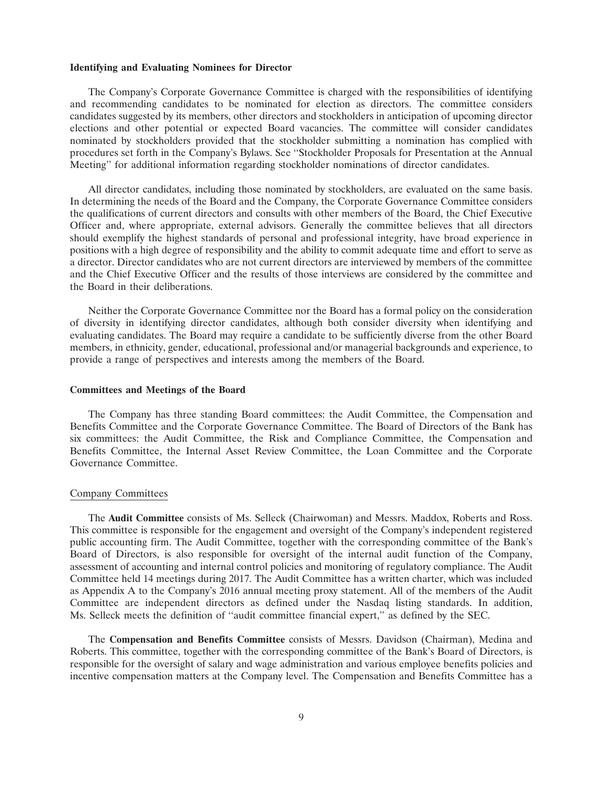#### **Identifying and Evaluating Nominees for Director**

The Company's Corporate Governance Committee is charged with the responsibilities of identifying and recommending candidates to be nominated for election as directors. The committee considers candidates suggested by its members, other directors and stockholders in anticipation of upcoming director elections and other potential or expected Board vacancies. The committee will consider candidates nominated by stockholders provided that the stockholder submitting a nomination has complied with procedures set forth in the Company's Bylaws. See ''Stockholder Proposals for Presentation at the Annual Meeting'' for additional information regarding stockholder nominations of director candidates.

All director candidates, including those nominated by stockholders, are evaluated on the same basis. In determining the needs of the Board and the Company, the Corporate Governance Committee considers the qualifications of current directors and consults with other members of the Board, the Chief Executive Officer and, where appropriate, external advisors. Generally the committee believes that all directors should exemplify the highest standards of personal and professional integrity, have broad experience in positions with a high degree of responsibility and the ability to commit adequate time and effort to serve as a director. Director candidates who are not current directors are interviewed by members of the committee and the Chief Executive Officer and the results of those interviews are considered by the committee and the Board in their deliberations.

Neither the Corporate Governance Committee nor the Board has a formal policy on the consideration of diversity in identifying director candidates, although both consider diversity when identifying and evaluating candidates. The Board may require a candidate to be sufficiently diverse from the other Board members, in ethnicity, gender, educational, professional and/or managerial backgrounds and experience, to provide a range of perspectives and interests among the members of the Board.

#### **Committees and Meetings of the Board**

The Company has three standing Board committees: the Audit Committee, the Compensation and Benefits Committee and the Corporate Governance Committee. The Board of Directors of the Bank has six committees: the Audit Committee, the Risk and Compliance Committee, the Compensation and Benefits Committee, the Internal Asset Review Committee, the Loan Committee and the Corporate Governance Committee.

#### Company Committees

The **Audit Committee** consists of Ms. Selleck (Chairwoman) and Messrs. Maddox, Roberts and Ross. This committee is responsible for the engagement and oversight of the Company's independent registered public accounting firm. The Audit Committee, together with the corresponding committee of the Bank's Board of Directors, is also responsible for oversight of the internal audit function of the Company, assessment of accounting and internal control policies and monitoring of regulatory compliance. The Audit Committee held 14 meetings during 2017. The Audit Committee has a written charter, which was included as Appendix A to the Company's 2016 annual meeting proxy statement. All of the members of the Audit Committee are independent directors as defined under the Nasdaq listing standards. In addition, Ms. Selleck meets the definition of ''audit committee financial expert,'' as defined by the SEC.

The **Compensation and Benefits Committee** consists of Messrs. Davidson (Chairman), Medina and Roberts. This committee, together with the corresponding committee of the Bank's Board of Directors, is responsible for the oversight of salary and wage administration and various employee benefits policies and incentive compensation matters at the Company level. The Compensation and Benefits Committee has a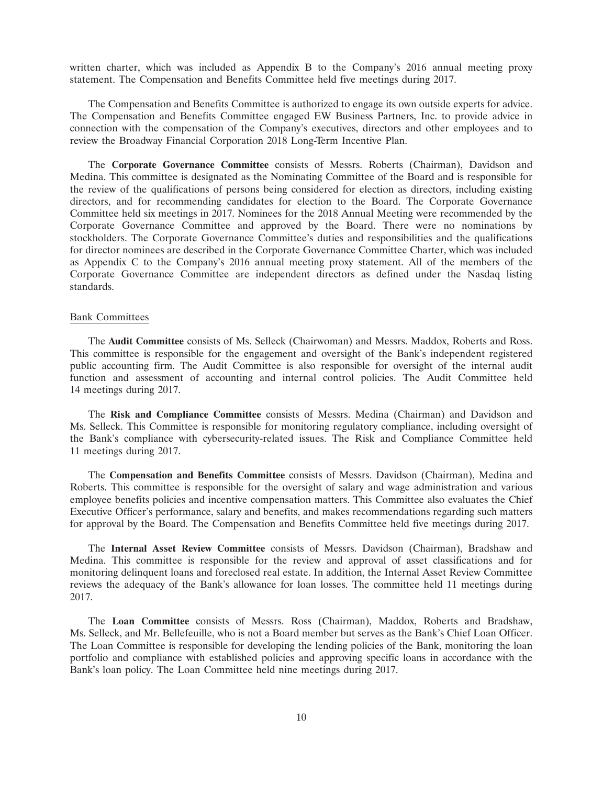written charter, which was included as Appendix B to the Company's 2016 annual meeting proxy statement. The Compensation and Benefits Committee held five meetings during 2017.

The Compensation and Benefits Committee is authorized to engage its own outside experts for advice. The Compensation and Benefits Committee engaged EW Business Partners, Inc. to provide advice in connection with the compensation of the Company's executives, directors and other employees and to review the Broadway Financial Corporation 2018 Long-Term Incentive Plan.

The **Corporate Governance Committee** consists of Messrs. Roberts (Chairman), Davidson and Medina. This committee is designated as the Nominating Committee of the Board and is responsible for the review of the qualifications of persons being considered for election as directors, including existing directors, and for recommending candidates for election to the Board. The Corporate Governance Committee held six meetings in 2017. Nominees for the 2018 Annual Meeting were recommended by the Corporate Governance Committee and approved by the Board. There were no nominations by stockholders. The Corporate Governance Committee's duties and responsibilities and the qualifications for director nominees are described in the Corporate Governance Committee Charter, which was included as Appendix C to the Company's 2016 annual meeting proxy statement. All of the members of the Corporate Governance Committee are independent directors as defined under the Nasdaq listing standards.

#### Bank Committees

The **Audit Committee** consists of Ms. Selleck (Chairwoman) and Messrs. Maddox, Roberts and Ross. This committee is responsible for the engagement and oversight of the Bank's independent registered public accounting firm. The Audit Committee is also responsible for oversight of the internal audit function and assessment of accounting and internal control policies. The Audit Committee held 14 meetings during 2017.

The **Risk and Compliance Committee** consists of Messrs. Medina (Chairman) and Davidson and Ms. Selleck. This Committee is responsible for monitoring regulatory compliance, including oversight of the Bank's compliance with cybersecurity-related issues. The Risk and Compliance Committee held 11 meetings during 2017.

The **Compensation and Benefits Committee** consists of Messrs. Davidson (Chairman), Medina and Roberts. This committee is responsible for the oversight of salary and wage administration and various employee benefits policies and incentive compensation matters. This Committee also evaluates the Chief Executive Officer's performance, salary and benefits, and makes recommendations regarding such matters for approval by the Board. The Compensation and Benefits Committee held five meetings during 2017.

The **Internal Asset Review Committee** consists of Messrs. Davidson (Chairman), Bradshaw and Medina. This committee is responsible for the review and approval of asset classifications and for monitoring delinquent loans and foreclosed real estate. In addition, the Internal Asset Review Committee reviews the adequacy of the Bank's allowance for loan losses. The committee held 11 meetings during 2017.

The **Loan Committee** consists of Messrs. Ross (Chairman), Maddox, Roberts and Bradshaw, Ms. Selleck, and Mr. Bellefeuille, who is not a Board member but serves as the Bank's Chief Loan Officer. The Loan Committee is responsible for developing the lending policies of the Bank, monitoring the loan portfolio and compliance with established policies and approving specific loans in accordance with the Bank's loan policy. The Loan Committee held nine meetings during 2017.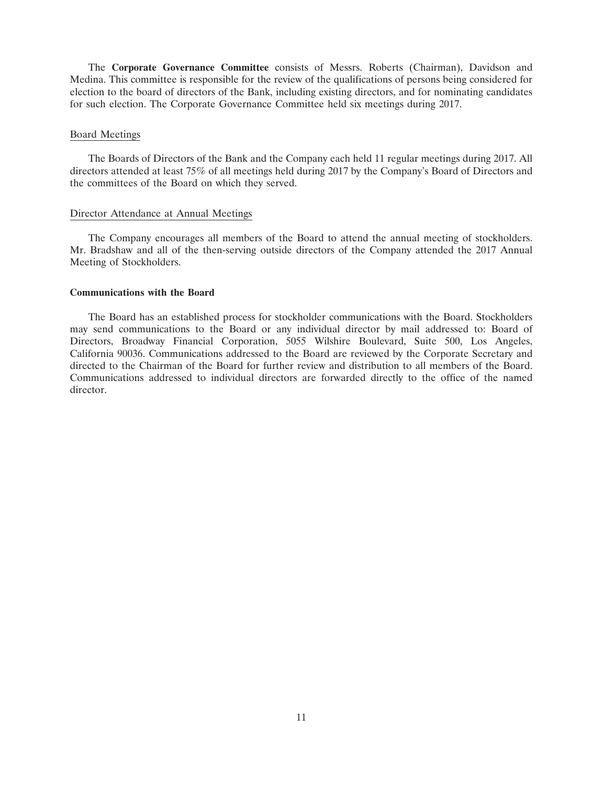The **Corporate Governance Committee** consists of Messrs. Roberts (Chairman), Davidson and Medina. This committee is responsible for the review of the qualifications of persons being considered for election to the board of directors of the Bank, including existing directors, and for nominating candidates for such election. The Corporate Governance Committee held six meetings during 2017.

#### Board Meetings

The Boards of Directors of the Bank and the Company each held 11 regular meetings during 2017. All directors attended at least 75% of all meetings held during 2017 by the Company's Board of Directors and the committees of the Board on which they served.

### Director Attendance at Annual Meetings

The Company encourages all members of the Board to attend the annual meeting of stockholders. Mr. Bradshaw and all of the then-serving outside directors of the Company attended the 2017 Annual Meeting of Stockholders.

#### **Communications with the Board**

The Board has an established process for stockholder communications with the Board. Stockholders may send communications to the Board or any individual director by mail addressed to: Board of Directors, Broadway Financial Corporation, 5055 Wilshire Boulevard, Suite 500, Los Angeles, California 90036. Communications addressed to the Board are reviewed by the Corporate Secretary and directed to the Chairman of the Board for further review and distribution to all members of the Board. Communications addressed to individual directors are forwarded directly to the office of the named director.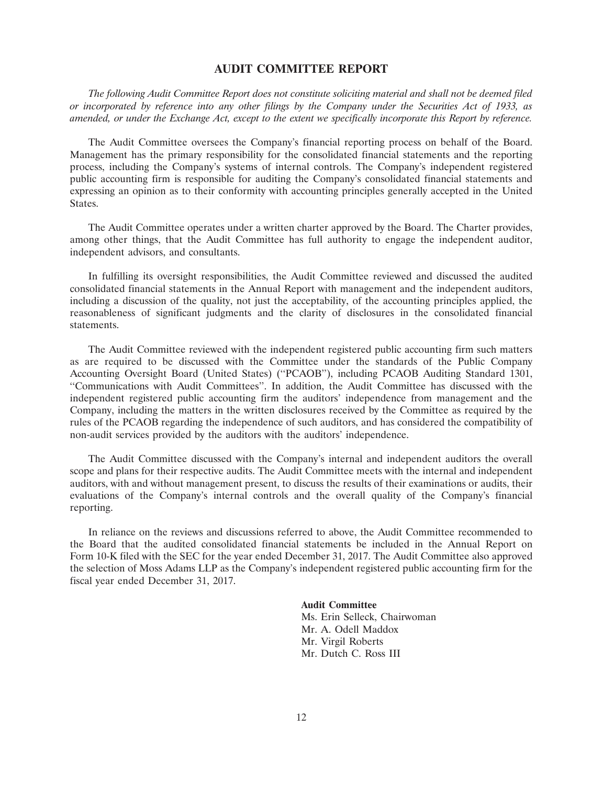## **AUDIT COMMITTEE REPORT**

*The following Audit Committee Report does not constitute soliciting material and shall not be deemed filed or incorporated by reference into any other filings by the Company under the Securities Act of 1933, as amended, or under the Exchange Act, except to the extent we specifically incorporate this Report by reference.*

The Audit Committee oversees the Company's financial reporting process on behalf of the Board. Management has the primary responsibility for the consolidated financial statements and the reporting process, including the Company's systems of internal controls. The Company's independent registered public accounting firm is responsible for auditing the Company's consolidated financial statements and expressing an opinion as to their conformity with accounting principles generally accepted in the United States.

The Audit Committee operates under a written charter approved by the Board. The Charter provides, among other things, that the Audit Committee has full authority to engage the independent auditor, independent advisors, and consultants.

In fulfilling its oversight responsibilities, the Audit Committee reviewed and discussed the audited consolidated financial statements in the Annual Report with management and the independent auditors, including a discussion of the quality, not just the acceptability, of the accounting principles applied, the reasonableness of significant judgments and the clarity of disclosures in the consolidated financial statements.

The Audit Committee reviewed with the independent registered public accounting firm such matters as are required to be discussed with the Committee under the standards of the Public Company Accounting Oversight Board (United States) (''PCAOB''), including PCAOB Auditing Standard 1301, ''Communications with Audit Committees''. In addition, the Audit Committee has discussed with the independent registered public accounting firm the auditors' independence from management and the Company, including the matters in the written disclosures received by the Committee as required by the rules of the PCAOB regarding the independence of such auditors, and has considered the compatibility of non-audit services provided by the auditors with the auditors' independence.

The Audit Committee discussed with the Company's internal and independent auditors the overall scope and plans for their respective audits. The Audit Committee meets with the internal and independent auditors, with and without management present, to discuss the results of their examinations or audits, their evaluations of the Company's internal controls and the overall quality of the Company's financial reporting.

In reliance on the reviews and discussions referred to above, the Audit Committee recommended to the Board that the audited consolidated financial statements be included in the Annual Report on Form 10-K filed with the SEC for the year ended December 31, 2017. The Audit Committee also approved the selection of Moss Adams LLP as the Company's independent registered public accounting firm for the fiscal year ended December 31, 2017.

#### **Audit Committee**

Ms. Erin Selleck, Chairwoman Mr. A. Odell Maddox Mr. Virgil Roberts Mr. Dutch C. Ross III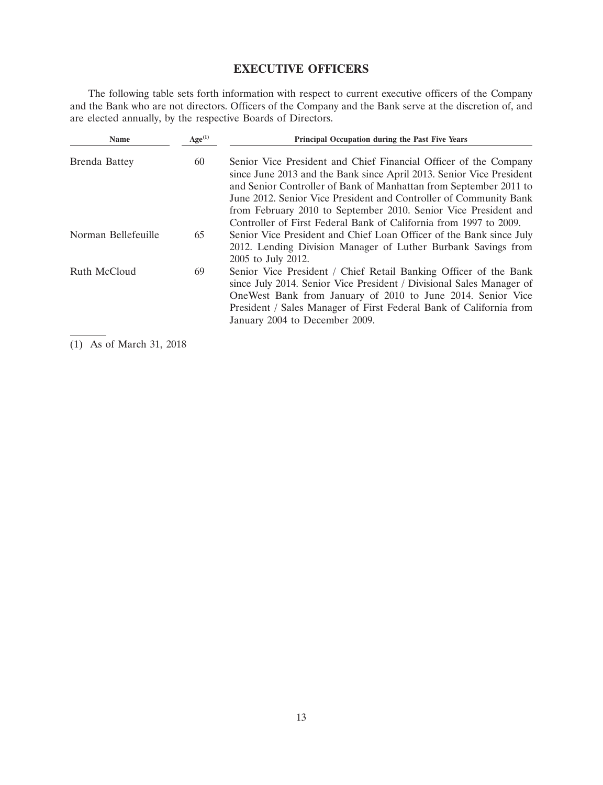# **EXECUTIVE OFFICERS**

The following table sets forth information with respect to current executive officers of the Company and the Bank who are not directors. Officers of the Company and the Bank serve at the discretion of, and are elected annually, by the respective Boards of Directors.

| <b>Name</b>         | Age <sup>(1)</sup> | Principal Occupation during the Past Five Years                                                                                                                                                                                                                                                                                                                                                                            |
|---------------------|--------------------|----------------------------------------------------------------------------------------------------------------------------------------------------------------------------------------------------------------------------------------------------------------------------------------------------------------------------------------------------------------------------------------------------------------------------|
| Brenda Battey       | 60                 | Senior Vice President and Chief Financial Officer of the Company<br>since June 2013 and the Bank since April 2013. Senior Vice President<br>and Senior Controller of Bank of Manhattan from September 2011 to<br>June 2012. Senior Vice President and Controller of Community Bank<br>from February 2010 to September 2010. Senior Vice President and<br>Controller of First Federal Bank of California from 1997 to 2009. |
| Norman Bellefeuille | 65                 | Senior Vice President and Chief Loan Officer of the Bank since July<br>2012. Lending Division Manager of Luther Burbank Savings from<br>2005 to July 2012.                                                                                                                                                                                                                                                                 |
| Ruth McCloud        | 69                 | Senior Vice President / Chief Retail Banking Officer of the Bank<br>since July 2014. Senior Vice President / Divisional Sales Manager of<br>One West Bank from January of 2010 to June 2014. Senior Vice<br>President / Sales Manager of First Federal Bank of California from<br>January 2004 to December 2009.                                                                                                           |

(1) As of March 31, 2018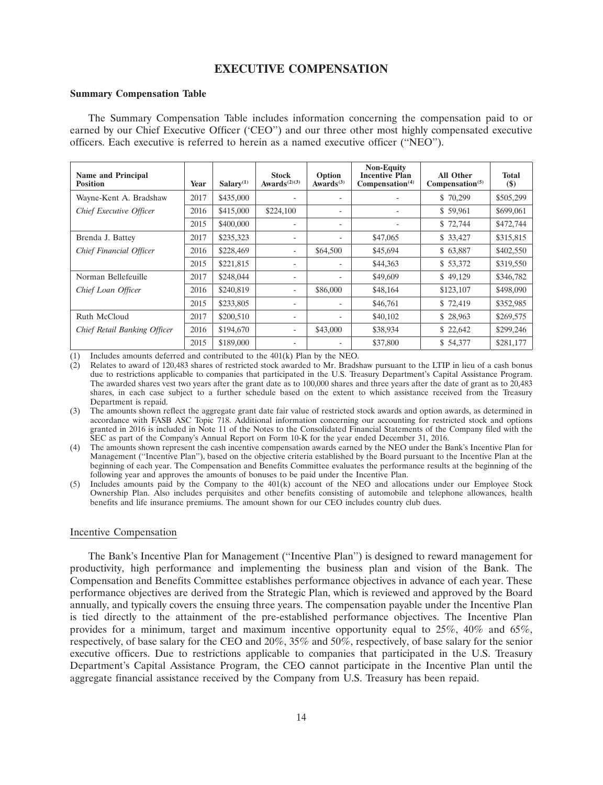# **EXECUTIVE COMPENSATION**

#### **Summary Compensation Table**

The Summary Compensation Table includes information concerning the compensation paid to or earned by our Chief Executive Officer ('CEO'') and our three other most highly compensated executive officers. Each executive is referred to herein as a named executive officer (''NEO'').

| <b>Name and Principal</b><br><b>Position</b> | Year | Salarv <sup>(1)</sup> | <b>Stock</b><br>Awards <sup><math>(2)(3)</math></sup> | Option<br>Awards $(3)$   | <b>Non-Equity</b><br><b>Incentive Plan</b><br>Compensation <sup>(4)</sup> | <b>All Other</b><br>Compensation <sup>(5)</sup> | <b>Total</b><br>$(\$)$ |
|----------------------------------------------|------|-----------------------|-------------------------------------------------------|--------------------------|---------------------------------------------------------------------------|-------------------------------------------------|------------------------|
| Wayne-Kent A. Bradshaw                       | 2017 | \$435,000             | ٠                                                     | $\overline{\phantom{a}}$ |                                                                           | \$70,299                                        | \$505,299              |
| Chief Executive Officer                      | 2016 | \$415,000             | \$224,100                                             | ٠                        |                                                                           | \$59,961                                        | \$699,061              |
|                                              | 2015 | \$400,000             | ٠                                                     | ٠                        |                                                                           | \$72,744                                        | \$472,744              |
| Brenda J. Battev                             | 2017 | \$235,323             | $\overline{\phantom{a}}$                              | $\overline{\phantom{a}}$ | \$47,065                                                                  | \$33,427                                        | \$315,815              |
| Chief Financial Officer                      | 2016 | \$228,469             | $\overline{\phantom{a}}$                              | \$64,500                 | \$45,694                                                                  | \$63,887                                        | \$402,550              |
|                                              | 2015 | \$221,815             | ٠                                                     | $\overline{\phantom{a}}$ | \$44,363                                                                  | \$53,372                                        | \$319,550              |
| Norman Bellefeuille                          | 2017 | \$248,044             | ٠                                                     | $\overline{\phantom{a}}$ | \$49,609                                                                  | \$49,129                                        | \$346,782              |
| Chief Loan Officer                           | 2016 | \$240,819             | ٠                                                     | \$86,000                 | \$48,164                                                                  | \$123,107                                       | \$498,090              |
|                                              | 2015 | \$233,805             | $\overline{\phantom{a}}$                              | $\overline{\phantom{a}}$ | \$46,761                                                                  | \$72,419                                        | \$352,985              |
| Ruth McCloud                                 | 2017 | \$200,510             | ٠                                                     | ٠                        | \$40,102                                                                  | \$28,963                                        | \$269,575              |
| <b>Chief Retail Banking Officer</b>          | 2016 | \$194,670             | ٠                                                     | \$43,000                 | \$38,934                                                                  | \$22,642                                        | \$299,246              |
|                                              | 2015 | \$189,000             | ٠                                                     | ٠                        | \$37,800                                                                  | \$54,377                                        | \$281,177              |

(1) Includes amounts deferred and contributed to the 401(k) Plan by the NEO.

(2) Relates to award of 120,483 shares of restricted stock awarded to Mr. Bradshaw pursuant to the LTIP in lieu of a cash bonus due to restrictions applicable to companies that participated in the U.S. Treasury Department's Capital Assistance Program. The awarded shares vest two years after the grant date as to 100,000 shares and three years after the date of grant as to 20,483 shares, in each case subject to a further schedule based on the extent to which assistance received from the Treasury Department is repaid.

(4) The amounts shown represent the cash incentive compensation awards earned by the NEO under the Bank's Incentive Plan for Management (''Incentive Plan''), based on the objective criteria established by the Board pursuant to the Incentive Plan at the beginning of each year. The Compensation and Benefits Committee evaluates the performance results at the beginning of the following year and approves the amounts of bonuses to be paid under the Incentive Plan.

(5) Includes amounts paid by the Company to the 401(k) account of the NEO and allocations under our Employee Stock Ownership Plan. Also includes perquisites and other benefits consisting of automobile and telephone allowances, health benefits and life insurance premiums. The amount shown for our CEO includes country club dues.

#### Incentive Compensation

The Bank's Incentive Plan for Management (''Incentive Plan'') is designed to reward management for productivity, high performance and implementing the business plan and vision of the Bank. The Compensation and Benefits Committee establishes performance objectives in advance of each year. These performance objectives are derived from the Strategic Plan, which is reviewed and approved by the Board annually, and typically covers the ensuing three years. The compensation payable under the Incentive Plan is tied directly to the attainment of the pre-established performance objectives. The Incentive Plan provides for a minimum, target and maximum incentive opportunity equal to 25%, 40% and 65%, respectively, of base salary for the CEO and 20%, 35% and 50%, respectively, of base salary for the senior executive officers. Due to restrictions applicable to companies that participated in the U.S. Treasury Department's Capital Assistance Program, the CEO cannot participate in the Incentive Plan until the aggregate financial assistance received by the Company from U.S. Treasury has been repaid.

<sup>(3)</sup> The amounts shown reflect the aggregate grant date fair value of restricted stock awards and option awards, as determined in accordance with FASB ASC Topic 718. Additional information concerning our accounting for restricted stock and options granted in 2016 is included in Note 11 of the Notes to the Consolidated Financial Statements of the Company filed with the SEC as part of the Company's Annual Report on Form 10-K for the year ended December 31, 2016.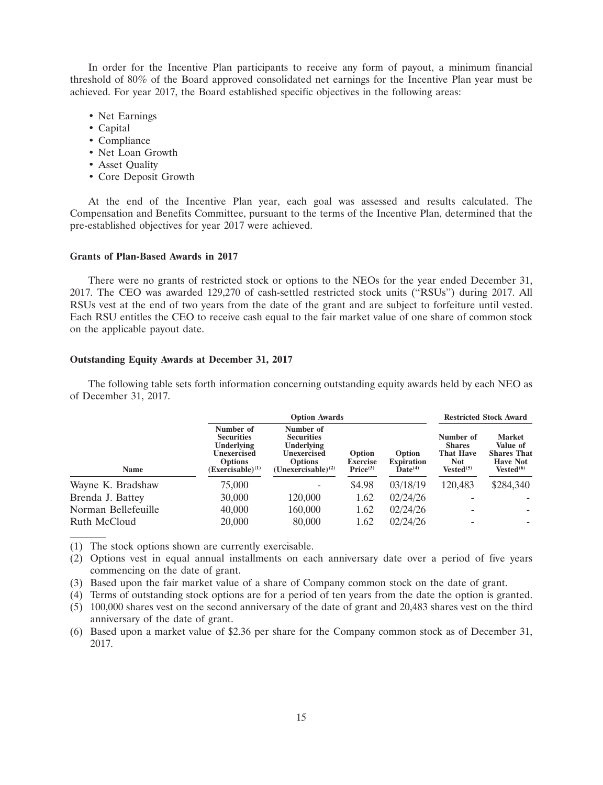In order for the Incentive Plan participants to receive any form of payout, a minimum financial threshold of 80% of the Board approved consolidated net earnings for the Incentive Plan year must be achieved. For year 2017, the Board established specific objectives in the following areas:

- Net Earnings
- Capital
- Compliance
- Net Loan Growth
- Asset Quality
- Core Deposit Growth

At the end of the Incentive Plan year, each goal was assessed and results calculated. The Compensation and Benefits Committee, pursuant to the terms of the Incentive Plan, determined that the pre-established objectives for year 2017 were achieved.

#### **Grants of Plan-Based Awards in 2017**

There were no grants of restricted stock or options to the NEOs for the year ended December 31, 2017. The CEO was awarded 129,270 of cash-settled restricted stock units (''RSUs'') during 2017. All RSUs vest at the end of two years from the date of the grant and are subject to forfeiture until vested. Each RSU entitles the CEO to receive cash equal to the fair market value of one share of common stock on the applicable payout date.

### **Outstanding Equity Awards at December 31, 2017**

The following table sets forth information concerning outstanding equity awards held by each NEO as of December 31, 2017.

|                     |                                                                                                                | <b>Option Awards</b>                                                                                             | <b>Restricted Stock Award</b>                     |                                                      |                                                                                |                                                                                             |
|---------------------|----------------------------------------------------------------------------------------------------------------|------------------------------------------------------------------------------------------------------------------|---------------------------------------------------|------------------------------------------------------|--------------------------------------------------------------------------------|---------------------------------------------------------------------------------------------|
| <b>Name</b>         | Number of<br><b>Securities</b><br><b>Underlying</b><br>Unexercised<br><b>Options</b><br>$(Exerciseable)^{(1)}$ | Number of<br><b>Securities</b><br><b>Underlying</b><br>Unexercised<br><b>Options</b><br>$(Unexerciseable)^{(2)}$ | Option<br><b>Exercise</b><br>Price <sup>(3)</sup> | Option<br><b>Expiration</b><br>$\mathbf{Date}^{(4)}$ | Number of<br><b>Shares</b><br><b>That Have</b><br><b>Not</b><br>$Vested^{(5)}$ | <b>Market</b><br>Value of<br><b>Shares That</b><br><b>Have Not</b><br>Vested <sup>(6)</sup> |
| Wayne K. Bradshaw   | 75,000                                                                                                         | ٠                                                                                                                | \$4.98                                            | 03/18/19                                             | 120,483                                                                        | \$284,340                                                                                   |
| Brenda J. Battey    | 30,000                                                                                                         | 120,000                                                                                                          | 1.62                                              | 02/24/26                                             |                                                                                |                                                                                             |
| Norman Bellefeuille | 40,000                                                                                                         | 160,000                                                                                                          | 1.62                                              | 02/24/26                                             |                                                                                |                                                                                             |
| Ruth McCloud        | 20,000                                                                                                         | 80,000                                                                                                           | 1.62                                              | 02/24/26                                             |                                                                                |                                                                                             |

(1) The stock options shown are currently exercisable.

(2) Options vest in equal annual installments on each anniversary date over a period of five years commencing on the date of grant.

- (3) Based upon the fair market value of a share of Company common stock on the date of grant.
- (4) Terms of outstanding stock options are for a period of ten years from the date the option is granted.
- (5) 100,000 shares vest on the second anniversary of the date of grant and 20,483 shares vest on the third anniversary of the date of grant.

(6) Based upon a market value of \$2.36 per share for the Company common stock as of December 31, 2017.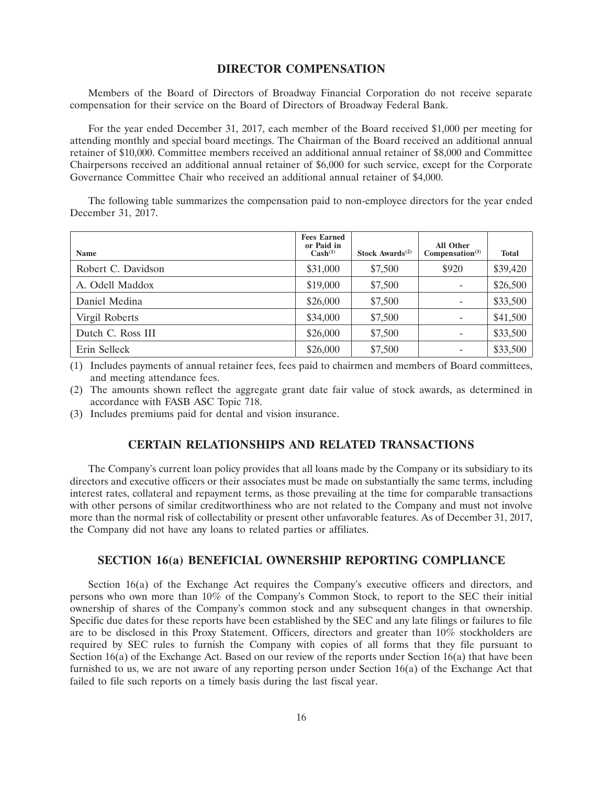# **DIRECTOR COMPENSATION**

Members of the Board of Directors of Broadway Financial Corporation do not receive separate compensation for their service on the Board of Directors of Broadway Federal Bank.

For the year ended December 31, 2017, each member of the Board received \$1,000 per meeting for attending monthly and special board meetings. The Chairman of the Board received an additional annual retainer of \$10,000. Committee members received an additional annual retainer of \$8,000 and Committee Chairpersons received an additional annual retainer of \$6,000 for such service, except for the Corporate Governance Committee Chair who received an additional annual retainer of \$4,000.

The following table summarizes the compensation paid to non-employee directors for the year ended December 31, 2017.

| Name               | <b>Fees Earned</b><br>or Paid in<br>$\text{Cash}^{(1)}$ | Stock Awards <sup><math>(2)</math></sup> | <b>All Other</b><br>Compensation <sup>(3)</sup> | <b>Total</b> |
|--------------------|---------------------------------------------------------|------------------------------------------|-------------------------------------------------|--------------|
| Robert C. Davidson | \$31,000                                                | \$7,500                                  | \$920                                           | \$39,420     |
| A. Odell Maddox    | \$19,000                                                | \$7,500                                  |                                                 | \$26,500     |
| Daniel Medina      | \$26,000                                                | \$7,500                                  |                                                 | \$33,500     |
| Virgil Roberts     | \$34,000                                                | \$7,500                                  |                                                 | \$41,500     |
| Dutch C. Ross III  | \$26,000                                                | \$7,500                                  |                                                 | \$33,500     |
| Erin Selleck       | \$26,000                                                | \$7,500                                  |                                                 | \$33,500     |

(1) Includes payments of annual retainer fees, fees paid to chairmen and members of Board committees, and meeting attendance fees.

(2) The amounts shown reflect the aggregate grant date fair value of stock awards, as determined in accordance with FASB ASC Topic 718.

(3) Includes premiums paid for dental and vision insurance.

## **CERTAIN RELATIONSHIPS AND RELATED TRANSACTIONS**

The Company's current loan policy provides that all loans made by the Company or its subsidiary to its directors and executive officers or their associates must be made on substantially the same terms, including interest rates, collateral and repayment terms, as those prevailing at the time for comparable transactions with other persons of similar creditworthiness who are not related to the Company and must not involve more than the normal risk of collectability or present other unfavorable features. As of December 31, 2017, the Company did not have any loans to related parties or affiliates.

### **SECTION 16(a) BENEFICIAL OWNERSHIP REPORTING COMPLIANCE**

Section 16(a) of the Exchange Act requires the Company's executive officers and directors, and persons who own more than 10% of the Company's Common Stock, to report to the SEC their initial ownership of shares of the Company's common stock and any subsequent changes in that ownership. Specific due dates for these reports have been established by the SEC and any late filings or failures to file are to be disclosed in this Proxy Statement. Officers, directors and greater than 10% stockholders are required by SEC rules to furnish the Company with copies of all forms that they file pursuant to Section 16(a) of the Exchange Act. Based on our review of the reports under Section 16(a) that have been furnished to us, we are not aware of any reporting person under Section 16(a) of the Exchange Act that failed to file such reports on a timely basis during the last fiscal year.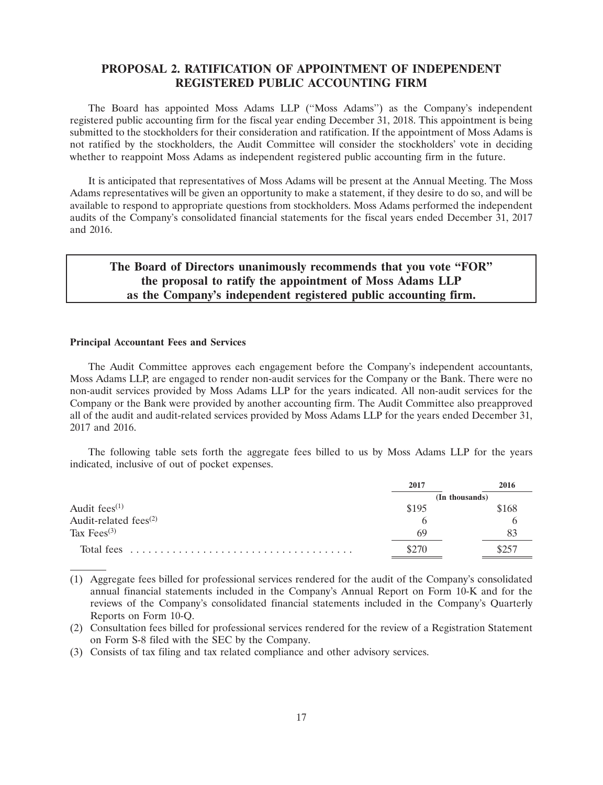# **PROPOSAL 2. RATIFICATION OF APPOINTMENT OF INDEPENDENT REGISTERED PUBLIC ACCOUNTING FIRM**

The Board has appointed Moss Adams LLP (''Moss Adams'') as the Company's independent registered public accounting firm for the fiscal year ending December 31, 2018. This appointment is being submitted to the stockholders for their consideration and ratification. If the appointment of Moss Adams is not ratified by the stockholders, the Audit Committee will consider the stockholders' vote in deciding whether to reappoint Moss Adams as independent registered public accounting firm in the future.

It is anticipated that representatives of Moss Adams will be present at the Annual Meeting. The Moss Adams representatives will be given an opportunity to make a statement, if they desire to do so, and will be available to respond to appropriate questions from stockholders. Moss Adams performed the independent audits of the Company's consolidated financial statements for the fiscal years ended December 31, 2017 and 2016.

# **The Board of Directors unanimously recommends that you vote ''FOR'' the proposal to ratify the appointment of Moss Adams LLP as the Company's independent registered public accounting firm.**

#### **Principal Accountant Fees and Services**

The Audit Committee approves each engagement before the Company's independent accountants, Moss Adams LLP, are engaged to render non-audit services for the Company or the Bank. There were no non-audit services provided by Moss Adams LLP for the years indicated. All non-audit services for the Company or the Bank were provided by another accounting firm. The Audit Committee also preapproved all of the audit and audit-related services provided by Moss Adams LLP for the years ended December 31, 2017 and 2016.

The following table sets forth the aggregate fees billed to us by Moss Adams LLP for the years indicated, inclusive of out of pocket expenses.

|                             | 2017           | 2016  |
|-----------------------------|----------------|-------|
|                             | (In thousands) |       |
| Audit fees $(1)$            | \$195          | \$168 |
| Audit-related fees $^{(2)}$ |                |       |
| Tax Fees $(3)$              | 69             |       |
|                             | \$270          | \$257 |

<sup>(1)</sup> Aggregate fees billed for professional services rendered for the audit of the Company's consolidated annual financial statements included in the Company's Annual Report on Form 10-K and for the reviews of the Company's consolidated financial statements included in the Company's Quarterly Reports on Form 10-Q.

<sup>(2)</sup> Consultation fees billed for professional services rendered for the review of a Registration Statement on Form S-8 filed with the SEC by the Company.

<sup>(3)</sup> Consists of tax filing and tax related compliance and other advisory services.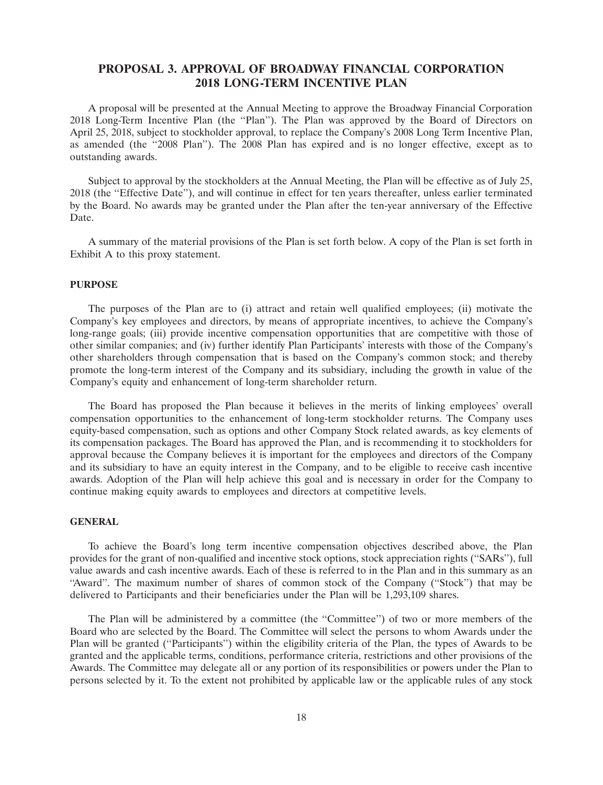# **PROPOSAL 3. APPROVAL OF BROADWAY FINANCIAL CORPORATION 2018 LONG-TERM INCENTIVE PLAN**

A proposal will be presented at the Annual Meeting to approve the Broadway Financial Corporation 2018 Long-Term Incentive Plan (the ''Plan''). The Plan was approved by the Board of Directors on April 25, 2018, subject to stockholder approval, to replace the Company's 2008 Long Term Incentive Plan, as amended (the "2008 Plan"). The 2008 Plan has expired and is no longer effective, except as to outstanding awards.

Subject to approval by the stockholders at the Annual Meeting, the Plan will be effective as of July 25, 2018 (the ''Effective Date''), and will continue in effect for ten years thereafter, unless earlier terminated by the Board. No awards may be granted under the Plan after the ten-year anniversary of the Effective Date.

A summary of the material provisions of the Plan is set forth below. A copy of the Plan is set forth in Exhibit A to this proxy statement.

### **PURPOSE**

The purposes of the Plan are to (i) attract and retain well qualified employees; (ii) motivate the Company's key employees and directors, by means of appropriate incentives, to achieve the Company's long-range goals; (iii) provide incentive compensation opportunities that are competitive with those of other similar companies; and (iv) further identify Plan Participants' interests with those of the Company's other shareholders through compensation that is based on the Company's common stock; and thereby promote the long-term interest of the Company and its subsidiary, including the growth in value of the Company's equity and enhancement of long-term shareholder return.

The Board has proposed the Plan because it believes in the merits of linking employees' overall compensation opportunities to the enhancement of long-term stockholder returns. The Company uses equity-based compensation, such as options and other Company Stock related awards, as key elements of its compensation packages. The Board has approved the Plan, and is recommending it to stockholders for approval because the Company believes it is important for the employees and directors of the Company and its subsidiary to have an equity interest in the Company, and to be eligible to receive cash incentive awards. Adoption of the Plan will help achieve this goal and is necessary in order for the Company to continue making equity awards to employees and directors at competitive levels.

#### **GENERAL**

To achieve the Board's long term incentive compensation objectives described above, the Plan provides for the grant of non-qualified and incentive stock options, stock appreciation rights (''SARs''), full value awards and cash incentive awards. Each of these is referred to in the Plan and in this summary as an "Award". The maximum number of shares of common stock of the Company ("Stock") that may be delivered to Participants and their beneficiaries under the Plan will be 1,293,109 shares.

The Plan will be administered by a committee (the ''Committee'') of two or more members of the Board who are selected by the Board. The Committee will select the persons to whom Awards under the Plan will be granted (''Participants'') within the eligibility criteria of the Plan, the types of Awards to be granted and the applicable terms, conditions, performance criteria, restrictions and other provisions of the Awards. The Committee may delegate all or any portion of its responsibilities or powers under the Plan to persons selected by it. To the extent not prohibited by applicable law or the applicable rules of any stock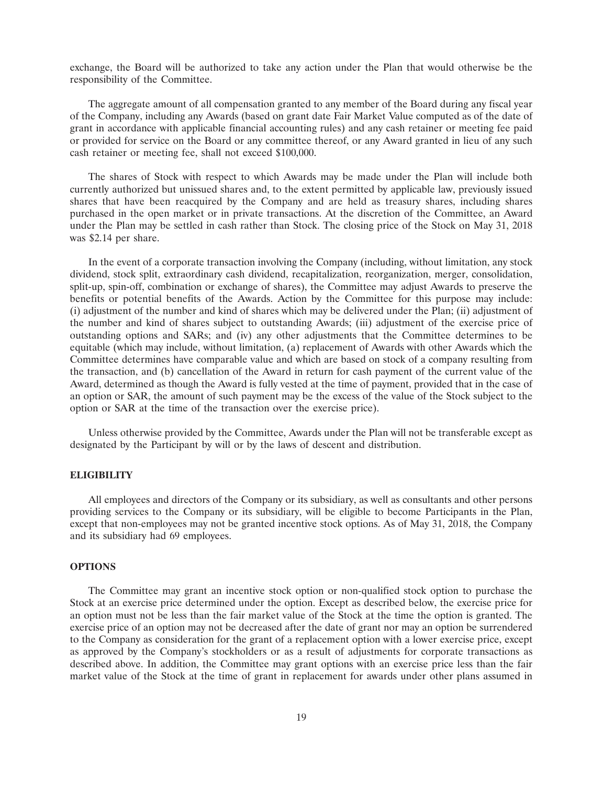exchange, the Board will be authorized to take any action under the Plan that would otherwise be the responsibility of the Committee.

The aggregate amount of all compensation granted to any member of the Board during any fiscal year of the Company, including any Awards (based on grant date Fair Market Value computed as of the date of grant in accordance with applicable financial accounting rules) and any cash retainer or meeting fee paid or provided for service on the Board or any committee thereof, or any Award granted in lieu of any such cash retainer or meeting fee, shall not exceed \$100,000.

The shares of Stock with respect to which Awards may be made under the Plan will include both currently authorized but unissued shares and, to the extent permitted by applicable law, previously issued shares that have been reacquired by the Company and are held as treasury shares, including shares purchased in the open market or in private transactions. At the discretion of the Committee, an Award under the Plan may be settled in cash rather than Stock. The closing price of the Stock on May 31, 2018 was \$2.14 per share.

In the event of a corporate transaction involving the Company (including, without limitation, any stock dividend, stock split, extraordinary cash dividend, recapitalization, reorganization, merger, consolidation, split-up, spin-off, combination or exchange of shares), the Committee may adjust Awards to preserve the benefits or potential benefits of the Awards. Action by the Committee for this purpose may include: (i) adjustment of the number and kind of shares which may be delivered under the Plan; (ii) adjustment of the number and kind of shares subject to outstanding Awards; (iii) adjustment of the exercise price of outstanding options and SARs; and (iv) any other adjustments that the Committee determines to be equitable (which may include, without limitation, (a) replacement of Awards with other Awards which the Committee determines have comparable value and which are based on stock of a company resulting from the transaction, and (b) cancellation of the Award in return for cash payment of the current value of the Award, determined as though the Award is fully vested at the time of payment, provided that in the case of an option or SAR, the amount of such payment may be the excess of the value of the Stock subject to the option or SAR at the time of the transaction over the exercise price).

Unless otherwise provided by the Committee, Awards under the Plan will not be transferable except as designated by the Participant by will or by the laws of descent and distribution.

## **ELIGIBILITY**

All employees and directors of the Company or its subsidiary, as well as consultants and other persons providing services to the Company or its subsidiary, will be eligible to become Participants in the Plan, except that non-employees may not be granted incentive stock options. As of May 31, 2018, the Company and its subsidiary had 69 employees.

### **OPTIONS**

The Committee may grant an incentive stock option or non-qualified stock option to purchase the Stock at an exercise price determined under the option. Except as described below, the exercise price for an option must not be less than the fair market value of the Stock at the time the option is granted. The exercise price of an option may not be decreased after the date of grant nor may an option be surrendered to the Company as consideration for the grant of a replacement option with a lower exercise price, except as approved by the Company's stockholders or as a result of adjustments for corporate transactions as described above. In addition, the Committee may grant options with an exercise price less than the fair market value of the Stock at the time of grant in replacement for awards under other plans assumed in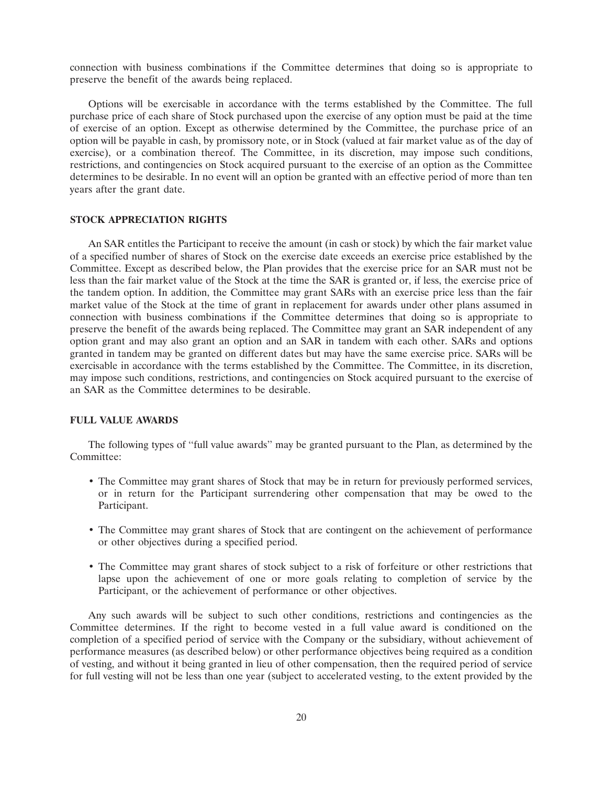connection with business combinations if the Committee determines that doing so is appropriate to preserve the benefit of the awards being replaced.

Options will be exercisable in accordance with the terms established by the Committee. The full purchase price of each share of Stock purchased upon the exercise of any option must be paid at the time of exercise of an option. Except as otherwise determined by the Committee, the purchase price of an option will be payable in cash, by promissory note, or in Stock (valued at fair market value as of the day of exercise), or a combination thereof. The Committee, in its discretion, may impose such conditions, restrictions, and contingencies on Stock acquired pursuant to the exercise of an option as the Committee determines to be desirable. In no event will an option be granted with an effective period of more than ten years after the grant date.

#### **STOCK APPRECIATION RIGHTS**

An SAR entitles the Participant to receive the amount (in cash or stock) by which the fair market value of a specified number of shares of Stock on the exercise date exceeds an exercise price established by the Committee. Except as described below, the Plan provides that the exercise price for an SAR must not be less than the fair market value of the Stock at the time the SAR is granted or, if less, the exercise price of the tandem option. In addition, the Committee may grant SARs with an exercise price less than the fair market value of the Stock at the time of grant in replacement for awards under other plans assumed in connection with business combinations if the Committee determines that doing so is appropriate to preserve the benefit of the awards being replaced. The Committee may grant an SAR independent of any option grant and may also grant an option and an SAR in tandem with each other. SARs and options granted in tandem may be granted on different dates but may have the same exercise price. SARs will be exercisable in accordance with the terms established by the Committee. The Committee, in its discretion, may impose such conditions, restrictions, and contingencies on Stock acquired pursuant to the exercise of an SAR as the Committee determines to be desirable.

### **FULL VALUE AWARDS**

The following types of ''full value awards'' may be granted pursuant to the Plan, as determined by the Committee<sup>.</sup>

- The Committee may grant shares of Stock that may be in return for previously performed services, or in return for the Participant surrendering other compensation that may be owed to the Participant.
- The Committee may grant shares of Stock that are contingent on the achievement of performance or other objectives during a specified period.
- The Committee may grant shares of stock subject to a risk of forfeiture or other restrictions that lapse upon the achievement of one or more goals relating to completion of service by the Participant, or the achievement of performance or other objectives.

Any such awards will be subject to such other conditions, restrictions and contingencies as the Committee determines. If the right to become vested in a full value award is conditioned on the completion of a specified period of service with the Company or the subsidiary, without achievement of performance measures (as described below) or other performance objectives being required as a condition of vesting, and without it being granted in lieu of other compensation, then the required period of service for full vesting will not be less than one year (subject to accelerated vesting, to the extent provided by the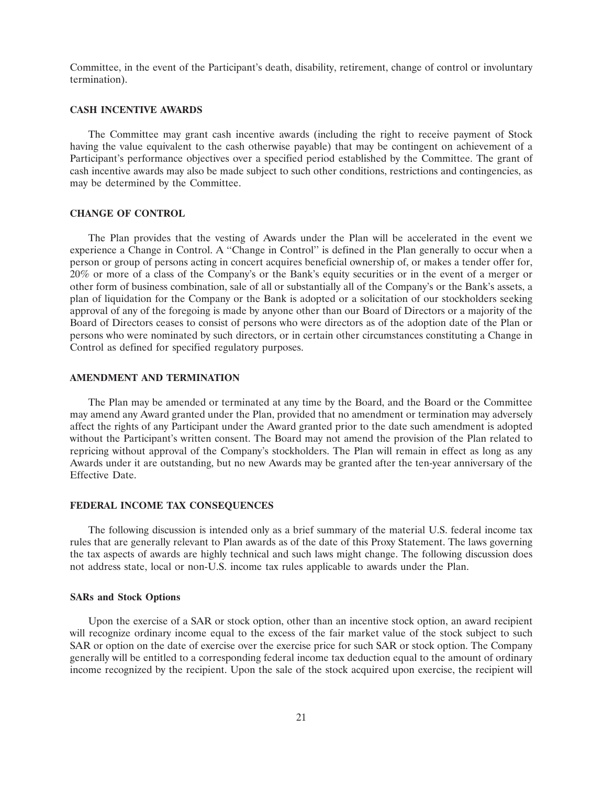Committee, in the event of the Participant's death, disability, retirement, change of control or involuntary termination).

#### **CASH INCENTIVE AWARDS**

The Committee may grant cash incentive awards (including the right to receive payment of Stock having the value equivalent to the cash otherwise payable) that may be contingent on achievement of a Participant's performance objectives over a specified period established by the Committee. The grant of cash incentive awards may also be made subject to such other conditions, restrictions and contingencies, as may be determined by the Committee.

### **CHANGE OF CONTROL**

The Plan provides that the vesting of Awards under the Plan will be accelerated in the event we experience a Change in Control. A ''Change in Control'' is defined in the Plan generally to occur when a person or group of persons acting in concert acquires beneficial ownership of, or makes a tender offer for, 20% or more of a class of the Company's or the Bank's equity securities or in the event of a merger or other form of business combination, sale of all or substantially all of the Company's or the Bank's assets, a plan of liquidation for the Company or the Bank is adopted or a solicitation of our stockholders seeking approval of any of the foregoing is made by anyone other than our Board of Directors or a majority of the Board of Directors ceases to consist of persons who were directors as of the adoption date of the Plan or persons who were nominated by such directors, or in certain other circumstances constituting a Change in Control as defined for specified regulatory purposes.

#### **AMENDMENT AND TERMINATION**

The Plan may be amended or terminated at any time by the Board, and the Board or the Committee may amend any Award granted under the Plan, provided that no amendment or termination may adversely affect the rights of any Participant under the Award granted prior to the date such amendment is adopted without the Participant's written consent. The Board may not amend the provision of the Plan related to repricing without approval of the Company's stockholders. The Plan will remain in effect as long as any Awards under it are outstanding, but no new Awards may be granted after the ten-year anniversary of the Effective Date.

## **FEDERAL INCOME TAX CONSEQUENCES**

The following discussion is intended only as a brief summary of the material U.S. federal income tax rules that are generally relevant to Plan awards as of the date of this Proxy Statement. The laws governing the tax aspects of awards are highly technical and such laws might change. The following discussion does not address state, local or non-U.S. income tax rules applicable to awards under the Plan.

#### **SARs and Stock Options**

Upon the exercise of a SAR or stock option, other than an incentive stock option, an award recipient will recognize ordinary income equal to the excess of the fair market value of the stock subject to such SAR or option on the date of exercise over the exercise price for such SAR or stock option. The Company generally will be entitled to a corresponding federal income tax deduction equal to the amount of ordinary income recognized by the recipient. Upon the sale of the stock acquired upon exercise, the recipient will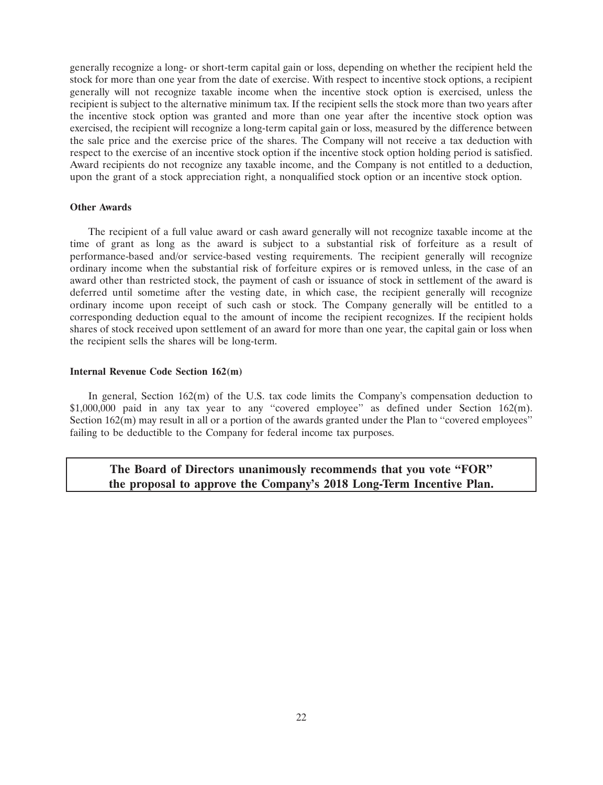generally recognize a long- or short-term capital gain or loss, depending on whether the recipient held the stock for more than one year from the date of exercise. With respect to incentive stock options, a recipient generally will not recognize taxable income when the incentive stock option is exercised, unless the recipient is subject to the alternative minimum tax. If the recipient sells the stock more than two years after the incentive stock option was granted and more than one year after the incentive stock option was exercised, the recipient will recognize a long-term capital gain or loss, measured by the difference between the sale price and the exercise price of the shares. The Company will not receive a tax deduction with respect to the exercise of an incentive stock option if the incentive stock option holding period is satisfied. Award recipients do not recognize any taxable income, and the Company is not entitled to a deduction, upon the grant of a stock appreciation right, a nonqualified stock option or an incentive stock option.

### **Other Awards**

The recipient of a full value award or cash award generally will not recognize taxable income at the time of grant as long as the award is subject to a substantial risk of forfeiture as a result of performance-based and/or service-based vesting requirements. The recipient generally will recognize ordinary income when the substantial risk of forfeiture expires or is removed unless, in the case of an award other than restricted stock, the payment of cash or issuance of stock in settlement of the award is deferred until sometime after the vesting date, in which case, the recipient generally will recognize ordinary income upon receipt of such cash or stock. The Company generally will be entitled to a corresponding deduction equal to the amount of income the recipient recognizes. If the recipient holds shares of stock received upon settlement of an award for more than one year, the capital gain or loss when the recipient sells the shares will be long-term.

#### **Internal Revenue Code Section 162(m)**

In general, Section  $162(m)$  of the U.S. tax code limits the Company's compensation deduction to \$1,000,000 paid in any tax year to any "covered employee" as defined under Section 162(m). Section 162(m) may result in all or a portion of the awards granted under the Plan to "covered employees" failing to be deductible to the Company for federal income tax purposes.

# **The Board of Directors unanimously recommends that you vote ''FOR'' the proposal to approve the Company's 2018 Long-Term Incentive Plan.**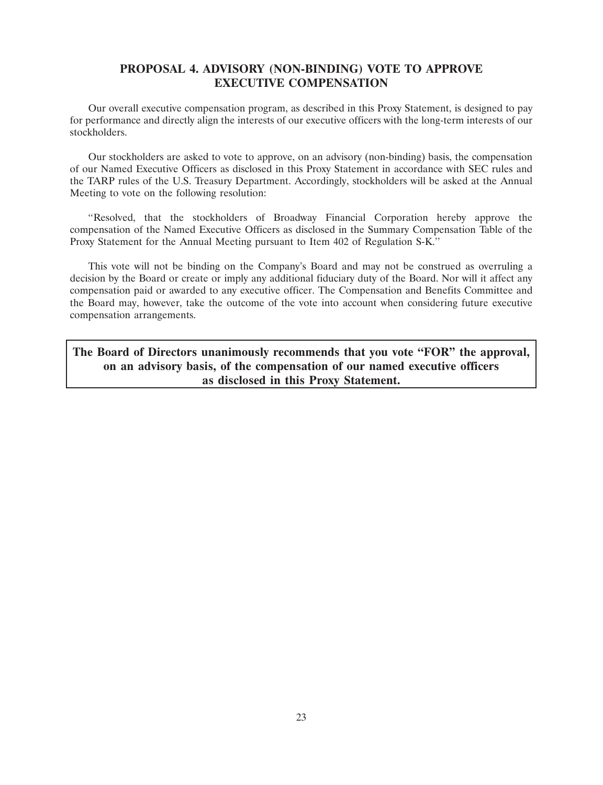# **PROPOSAL 4. ADVISORY (NON-BINDING) VOTE TO APPROVE EXECUTIVE COMPENSATION**

Our overall executive compensation program, as described in this Proxy Statement, is designed to pay for performance and directly align the interests of our executive officers with the long-term interests of our stockholders.

Our stockholders are asked to vote to approve, on an advisory (non-binding) basis, the compensation of our Named Executive Officers as disclosed in this Proxy Statement in accordance with SEC rules and the TARP rules of the U.S. Treasury Department. Accordingly, stockholders will be asked at the Annual Meeting to vote on the following resolution:

''Resolved, that the stockholders of Broadway Financial Corporation hereby approve the compensation of the Named Executive Officers as disclosed in the Summary Compensation Table of the Proxy Statement for the Annual Meeting pursuant to Item 402 of Regulation S-K.''

This vote will not be binding on the Company's Board and may not be construed as overruling a decision by the Board or create or imply any additional fiduciary duty of the Board. Nor will it affect any compensation paid or awarded to any executive officer. The Compensation and Benefits Committee and the Board may, however, take the outcome of the vote into account when considering future executive compensation arrangements.

**The Board of Directors unanimously recommends that you vote ''FOR'' the approval, on an advisory basis, of the compensation of our named executive officers as disclosed in this Proxy Statement.**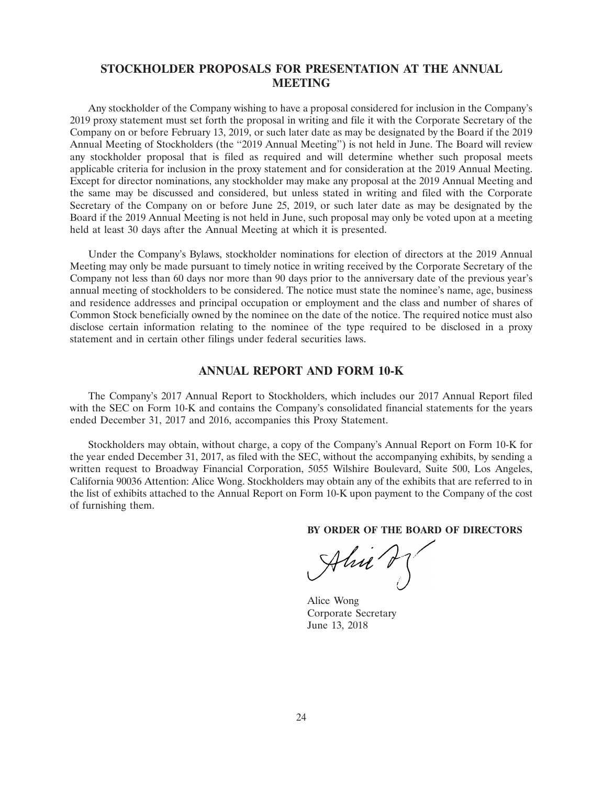# **STOCKHOLDER PROPOSALS FOR PRESENTATION AT THE ANNUAL MEETING**

Any stockholder of the Company wishing to have a proposal considered for inclusion in the Company's 2019 proxy statement must set forth the proposal in writing and file it with the Corporate Secretary of the Company on or before February 13, 2019, or such later date as may be designated by the Board if the 2019 Annual Meeting of Stockholders (the "2019 Annual Meeting") is not held in June. The Board will review any stockholder proposal that is filed as required and will determine whether such proposal meets applicable criteria for inclusion in the proxy statement and for consideration at the 2019 Annual Meeting. Except for director nominations, any stockholder may make any proposal at the 2019 Annual Meeting and the same may be discussed and considered, but unless stated in writing and filed with the Corporate Secretary of the Company on or before June 25, 2019, or such later date as may be designated by the Board if the 2019 Annual Meeting is not held in June, such proposal may only be voted upon at a meeting held at least 30 days after the Annual Meeting at which it is presented.

Under the Company's Bylaws, stockholder nominations for election of directors at the 2019 Annual Meeting may only be made pursuant to timely notice in writing received by the Corporate Secretary of the Company not less than 60 days nor more than 90 days prior to the anniversary date of the previous year's annual meeting of stockholders to be considered. The notice must state the nominee's name, age, business and residence addresses and principal occupation or employment and the class and number of shares of Common Stock beneficially owned by the nominee on the date of the notice. The required notice must also disclose certain information relating to the nominee of the type required to be disclosed in a proxy statement and in certain other filings under federal securities laws.

## **ANNUAL REPORT AND FORM 10-K**

The Company's 2017 Annual Report to Stockholders, which includes our 2017 Annual Report filed with the SEC on Form 10-K and contains the Company's consolidated financial statements for the years ended December 31, 2017 and 2016, accompanies this Proxy Statement.

Stockholders may obtain, without charge, a copy of the Company's Annual Report on Form 10-K for the year ended December 31, 2017, as filed with the SEC, without the accompanying exhibits, by sending a written request to Broadway Financial Corporation, 5055 Wilshire Boulevard, Suite 500, Los Angeles, California 90036 Attention: Alice Wong. Stockholders may obtain any of the exhibits that are referred to in the list of exhibits attached to the Annual Report on Form 10-K upon payment to the Company of the cost of furnishing them.

**BY ORDER OF THE BOARD OF DIRECTORS**

 $\mathcal{A}l\nu\iota$ **27APR201618432713**

Alice Wong Corporate Secretary June 13, 2018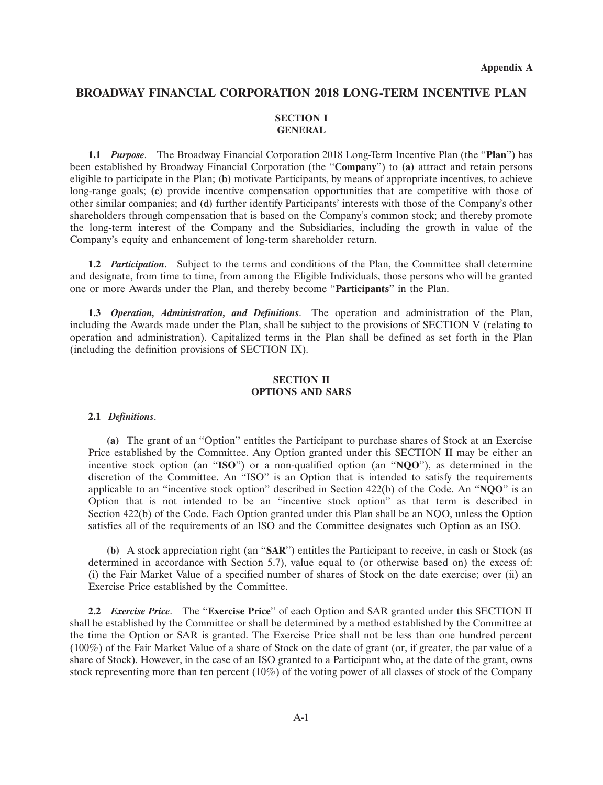# **BROADWAY FINANCIAL CORPORATION 2018 LONG-TERM INCENTIVE PLAN**

# **SECTION I GENERAL**

**1.1** *Purpose*. The Broadway Financial Corporation 2018 Long-Term Incentive Plan (the ''**Plan**'') has been established by Broadway Financial Corporation (the ''**Company**'') to **(a)** attract and retain persons eligible to participate in the Plan; **(b)** motivate Participants, by means of appropriate incentives, to achieve long-range goals; **(c)** provide incentive compensation opportunities that are competitive with those of other similar companies; and **(d)** further identify Participants' interests with those of the Company's other shareholders through compensation that is based on the Company's common stock; and thereby promote the long-term interest of the Company and the Subsidiaries, including the growth in value of the Company's equity and enhancement of long-term shareholder return.

**1.2** *Participation*. Subject to the terms and conditions of the Plan, the Committee shall determine and designate, from time to time, from among the Eligible Individuals, those persons who will be granted one or more Awards under the Plan, and thereby become ''**Participants**'' in the Plan.

**1.3** *Operation, Administration, and Definitions*. The operation and administration of the Plan, including the Awards made under the Plan, shall be subject to the provisions of SECTION V (relating to operation and administration). Capitalized terms in the Plan shall be defined as set forth in the Plan (including the definition provisions of SECTION IX).

## **SECTION II OPTIONS AND SARS**

### **2.1** *Definitions*.

**(a)** The grant of an ''Option'' entitles the Participant to purchase shares of Stock at an Exercise Price established by the Committee. Any Option granted under this SECTION II may be either an incentive stock option (an ''**ISO**'') or a non-qualified option (an ''**NQO**''), as determined in the discretion of the Committee. An ''ISO'' is an Option that is intended to satisfy the requirements applicable to an ''incentive stock option'' described in Section 422(b) of the Code. An ''**NQO**'' is an Option that is not intended to be an ''incentive stock option'' as that term is described in Section 422(b) of the Code. Each Option granted under this Plan shall be an NQO, unless the Option satisfies all of the requirements of an ISO and the Committee designates such Option as an ISO.

**(b)** A stock appreciation right (an ''**SAR**'') entitles the Participant to receive, in cash or Stock (as determined in accordance with Section 5.7), value equal to (or otherwise based on) the excess of: (i) the Fair Market Value of a specified number of shares of Stock on the date exercise; over (ii) an Exercise Price established by the Committee.

**2.2** *Exercise Price*. The ''**Exercise Price**'' of each Option and SAR granted under this SECTION II shall be established by the Committee or shall be determined by a method established by the Committee at the time the Option or SAR is granted. The Exercise Price shall not be less than one hundred percent (100%) of the Fair Market Value of a share of Stock on the date of grant (or, if greater, the par value of a share of Stock). However, in the case of an ISO granted to a Participant who, at the date of the grant, owns stock representing more than ten percent (10%) of the voting power of all classes of stock of the Company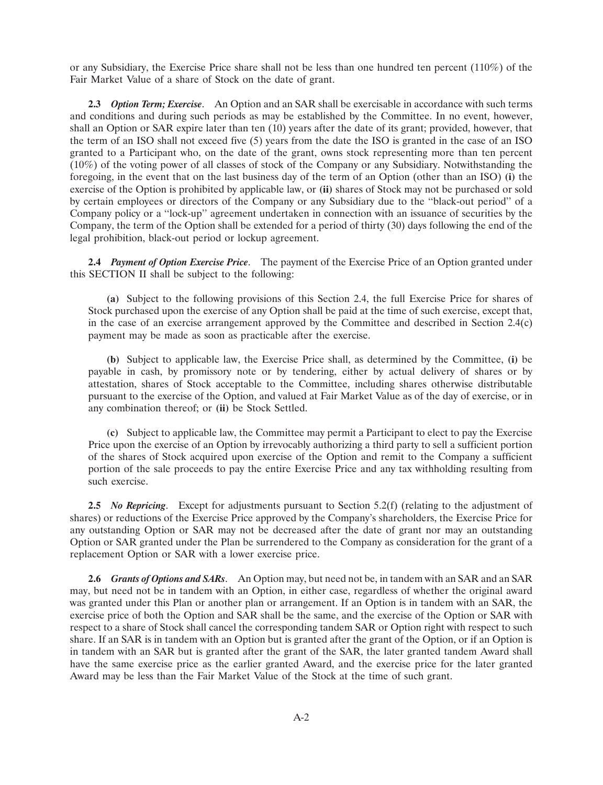or any Subsidiary, the Exercise Price share shall not be less than one hundred ten percent (110%) of the Fair Market Value of a share of Stock on the date of grant.

**2.3** *Option Term; Exercise*. An Option and an SAR shall be exercisable in accordance with such terms and conditions and during such periods as may be established by the Committee. In no event, however, shall an Option or SAR expire later than ten (10) years after the date of its grant; provided, however, that the term of an ISO shall not exceed five (5) years from the date the ISO is granted in the case of an ISO granted to a Participant who, on the date of the grant, owns stock representing more than ten percent (10%) of the voting power of all classes of stock of the Company or any Subsidiary. Notwithstanding the foregoing, in the event that on the last business day of the term of an Option (other than an ISO) **(i)** the exercise of the Option is prohibited by applicable law, or **(ii)** shares of Stock may not be purchased or sold by certain employees or directors of the Company or any Subsidiary due to the ''black-out period'' of a Company policy or a ''lock-up'' agreement undertaken in connection with an issuance of securities by the Company, the term of the Option shall be extended for a period of thirty (30) days following the end of the legal prohibition, black-out period or lockup agreement.

**2.4** *Payment of Option Exercise Price*. The payment of the Exercise Price of an Option granted under this SECTION II shall be subject to the following:

**(a)** Subject to the following provisions of this Section 2.4, the full Exercise Price for shares of Stock purchased upon the exercise of any Option shall be paid at the time of such exercise, except that, in the case of an exercise arrangement approved by the Committee and described in Section 2.4(c) payment may be made as soon as practicable after the exercise.

**(b)** Subject to applicable law, the Exercise Price shall, as determined by the Committee, **(i)** be payable in cash, by promissory note or by tendering, either by actual delivery of shares or by attestation, shares of Stock acceptable to the Committee, including shares otherwise distributable pursuant to the exercise of the Option, and valued at Fair Market Value as of the day of exercise, or in any combination thereof; or **(ii)** be Stock Settled.

**(c)** Subject to applicable law, the Committee may permit a Participant to elect to pay the Exercise Price upon the exercise of an Option by irrevocably authorizing a third party to sell a sufficient portion of the shares of Stock acquired upon exercise of the Option and remit to the Company a sufficient portion of the sale proceeds to pay the entire Exercise Price and any tax withholding resulting from such exercise.

**2.5** *No Repricing*. Except for adjustments pursuant to Section 5.2(f) (relating to the adjustment of shares) or reductions of the Exercise Price approved by the Company's shareholders, the Exercise Price for any outstanding Option or SAR may not be decreased after the date of grant nor may an outstanding Option or SAR granted under the Plan be surrendered to the Company as consideration for the grant of a replacement Option or SAR with a lower exercise price.

**2.6** *Grants of Options and SARs*. An Option may, but need not be, in tandem with an SAR and an SAR may, but need not be in tandem with an Option, in either case, regardless of whether the original award was granted under this Plan or another plan or arrangement. If an Option is in tandem with an SAR, the exercise price of both the Option and SAR shall be the same, and the exercise of the Option or SAR with respect to a share of Stock shall cancel the corresponding tandem SAR or Option right with respect to such share. If an SAR is in tandem with an Option but is granted after the grant of the Option, or if an Option is in tandem with an SAR but is granted after the grant of the SAR, the later granted tandem Award shall have the same exercise price as the earlier granted Award, and the exercise price for the later granted Award may be less than the Fair Market Value of the Stock at the time of such grant.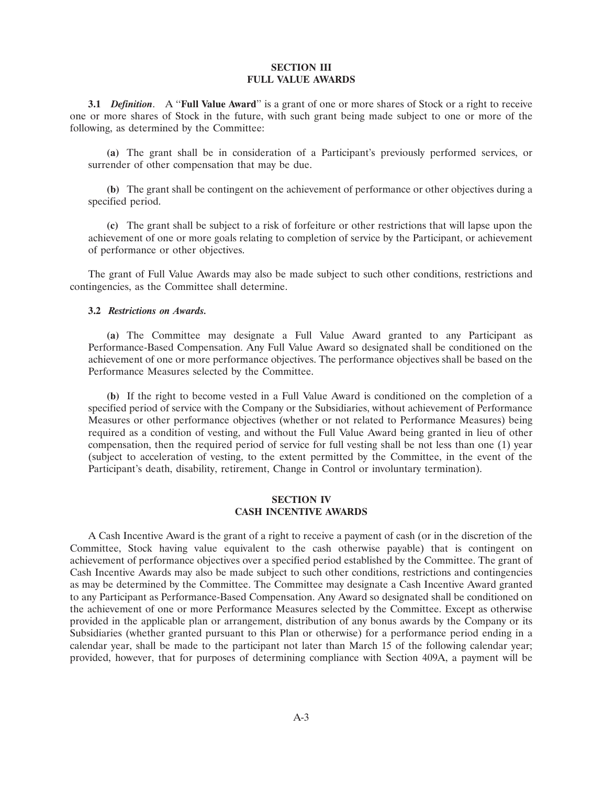### **SECTION III FULL VALUE AWARDS**

**3.1** *Definition*. A ''**Full Value Award**'' is a grant of one or more shares of Stock or a right to receive one or more shares of Stock in the future, with such grant being made subject to one or more of the following, as determined by the Committee:

**(a)** The grant shall be in consideration of a Participant's previously performed services, or surrender of other compensation that may be due.

**(b)** The grant shall be contingent on the achievement of performance or other objectives during a specified period.

**(c)** The grant shall be subject to a risk of forfeiture or other restrictions that will lapse upon the achievement of one or more goals relating to completion of service by the Participant, or achievement of performance or other objectives.

The grant of Full Value Awards may also be made subject to such other conditions, restrictions and contingencies, as the Committee shall determine.

### **3.2** *Restrictions on Awards.*

**(a)** The Committee may designate a Full Value Award granted to any Participant as Performance-Based Compensation. Any Full Value Award so designated shall be conditioned on the achievement of one or more performance objectives. The performance objectives shall be based on the Performance Measures selected by the Committee.

**(b)** If the right to become vested in a Full Value Award is conditioned on the completion of a specified period of service with the Company or the Subsidiaries, without achievement of Performance Measures or other performance objectives (whether or not related to Performance Measures) being required as a condition of vesting, and without the Full Value Award being granted in lieu of other compensation, then the required period of service for full vesting shall be not less than one (1) year (subject to acceleration of vesting, to the extent permitted by the Committee, in the event of the Participant's death, disability, retirement, Change in Control or involuntary termination).

## **SECTION IV CASH INCENTIVE AWARDS**

A Cash Incentive Award is the grant of a right to receive a payment of cash (or in the discretion of the Committee, Stock having value equivalent to the cash otherwise payable) that is contingent on achievement of performance objectives over a specified period established by the Committee. The grant of Cash Incentive Awards may also be made subject to such other conditions, restrictions and contingencies as may be determined by the Committee. The Committee may designate a Cash Incentive Award granted to any Participant as Performance-Based Compensation. Any Award so designated shall be conditioned on the achievement of one or more Performance Measures selected by the Committee. Except as otherwise provided in the applicable plan or arrangement, distribution of any bonus awards by the Company or its Subsidiaries (whether granted pursuant to this Plan or otherwise) for a performance period ending in a calendar year, shall be made to the participant not later than March 15 of the following calendar year; provided, however, that for purposes of determining compliance with Section 409A, a payment will be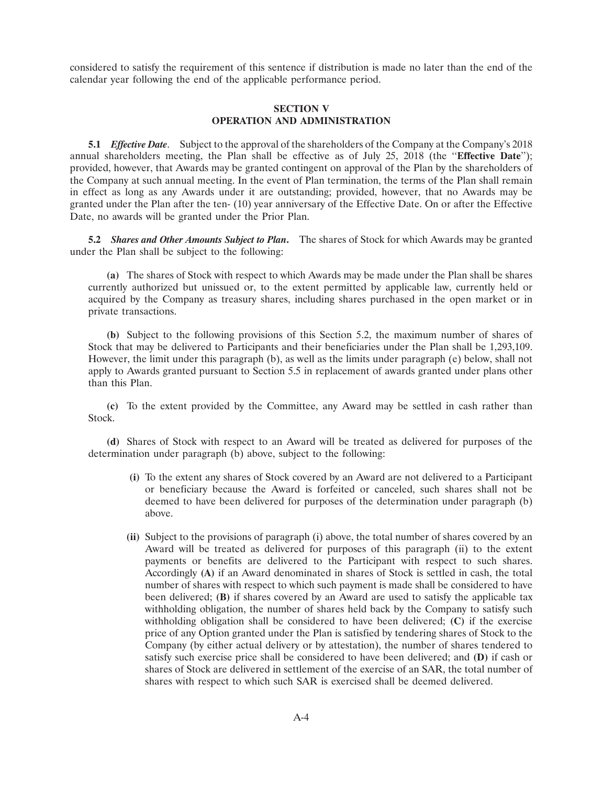considered to satisfy the requirement of this sentence if distribution is made no later than the end of the calendar year following the end of the applicable performance period.

## **SECTION V OPERATION AND ADMINISTRATION**

**5.1** *Effective Date*. Subject to the approval of the shareholders of the Company at the Company's 2018 annual shareholders meeting, the Plan shall be effective as of July 25, 2018 (the ''**Effective Date**''); provided, however, that Awards may be granted contingent on approval of the Plan by the shareholders of the Company at such annual meeting. In the event of Plan termination, the terms of the Plan shall remain in effect as long as any Awards under it are outstanding; provided, however, that no Awards may be granted under the Plan after the ten- (10) year anniversary of the Effective Date. On or after the Effective Date, no awards will be granted under the Prior Plan.

**5.2** *Shares and Other Amounts Subject to Plan***.** The shares of Stock for which Awards may be granted under the Plan shall be subject to the following:

**(a)** The shares of Stock with respect to which Awards may be made under the Plan shall be shares currently authorized but unissued or, to the extent permitted by applicable law, currently held or acquired by the Company as treasury shares, including shares purchased in the open market or in private transactions.

**(b)** Subject to the following provisions of this Section 5.2, the maximum number of shares of Stock that may be delivered to Participants and their beneficiaries under the Plan shall be 1,293,109. However, the limit under this paragraph (b), as well as the limits under paragraph (e) below, shall not apply to Awards granted pursuant to Section 5.5 in replacement of awards granted under plans other than this Plan.

**(c)** To the extent provided by the Committee, any Award may be settled in cash rather than Stock.

**(d)** Shares of Stock with respect to an Award will be treated as delivered for purposes of the determination under paragraph  $(b)$  above, subject to the following:

- **(i)** To the extent any shares of Stock covered by an Award are not delivered to a Participant or beneficiary because the Award is forfeited or canceled, such shares shall not be deemed to have been delivered for purposes of the determination under paragraph (b) above.
- **(ii)** Subject to the provisions of paragraph (i) above, the total number of shares covered by an Award will be treated as delivered for purposes of this paragraph (ii) to the extent payments or benefits are delivered to the Participant with respect to such shares. Accordingly **(A)** if an Award denominated in shares of Stock is settled in cash, the total number of shares with respect to which such payment is made shall be considered to have been delivered; **(B)** if shares covered by an Award are used to satisfy the applicable tax withholding obligation, the number of shares held back by the Company to satisfy such withholding obligation shall be considered to have been delivered; **(C)** if the exercise price of any Option granted under the Plan is satisfied by tendering shares of Stock to the Company (by either actual delivery or by attestation), the number of shares tendered to satisfy such exercise price shall be considered to have been delivered; and **(D)** if cash or shares of Stock are delivered in settlement of the exercise of an SAR, the total number of shares with respect to which such SAR is exercised shall be deemed delivered.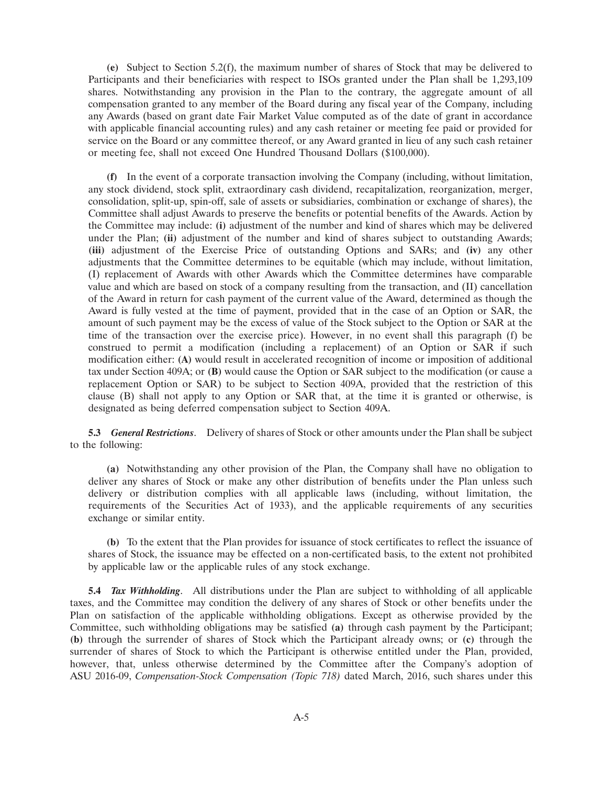**(e)** Subject to Section 5.2(f), the maximum number of shares of Stock that may be delivered to Participants and their beneficiaries with respect to ISOs granted under the Plan shall be 1,293,109 shares. Notwithstanding any provision in the Plan to the contrary, the aggregate amount of all compensation granted to any member of the Board during any fiscal year of the Company, including any Awards (based on grant date Fair Market Value computed as of the date of grant in accordance with applicable financial accounting rules) and any cash retainer or meeting fee paid or provided for service on the Board or any committee thereof, or any Award granted in lieu of any such cash retainer or meeting fee, shall not exceed One Hundred Thousand Dollars (\$100,000).

**(f)** In the event of a corporate transaction involving the Company (including, without limitation, any stock dividend, stock split, extraordinary cash dividend, recapitalization, reorganization, merger, consolidation, split-up, spin-off, sale of assets or subsidiaries, combination or exchange of shares), the Committee shall adjust Awards to preserve the benefits or potential benefits of the Awards. Action by the Committee may include: **(i)** adjustment of the number and kind of shares which may be delivered under the Plan; **(ii)** adjustment of the number and kind of shares subject to outstanding Awards; **(iii)** adjustment of the Exercise Price of outstanding Options and SARs; and **(iv)** any other adjustments that the Committee determines to be equitable (which may include, without limitation, (I) replacement of Awards with other Awards which the Committee determines have comparable value and which are based on stock of a company resulting from the transaction, and (II) cancellation of the Award in return for cash payment of the current value of the Award, determined as though the Award is fully vested at the time of payment, provided that in the case of an Option or SAR, the amount of such payment may be the excess of value of the Stock subject to the Option or SAR at the time of the transaction over the exercise price). However, in no event shall this paragraph (f) be construed to permit a modification (including a replacement) of an Option or SAR if such modification either: **(A)** would result in accelerated recognition of income or imposition of additional tax under Section 409A; or **(B)** would cause the Option or SAR subject to the modification (or cause a replacement Option or SAR) to be subject to Section 409A, provided that the restriction of this clause (B) shall not apply to any Option or SAR that, at the time it is granted or otherwise, is designated as being deferred compensation subject to Section 409A.

**5.3** *General Restrictions*. Delivery of shares of Stock or other amounts under the Plan shall be subject to the following:

**(a)** Notwithstanding any other provision of the Plan, the Company shall have no obligation to deliver any shares of Stock or make any other distribution of benefits under the Plan unless such delivery or distribution complies with all applicable laws (including, without limitation, the requirements of the Securities Act of 1933), and the applicable requirements of any securities exchange or similar entity.

**(b)** To the extent that the Plan provides for issuance of stock certificates to reflect the issuance of shares of Stock, the issuance may be effected on a non-certificated basis, to the extent not prohibited by applicable law or the applicable rules of any stock exchange.

**5.4** *Tax Withholding*. All distributions under the Plan are subject to withholding of all applicable taxes, and the Committee may condition the delivery of any shares of Stock or other benefits under the Plan on satisfaction of the applicable withholding obligations. Except as otherwise provided by the Committee, such withholding obligations may be satisfied **(a)** through cash payment by the Participant; **(b)** through the surrender of shares of Stock which the Participant already owns; or **(c)** through the surrender of shares of Stock to which the Participant is otherwise entitled under the Plan, provided, however, that, unless otherwise determined by the Committee after the Company's adoption of ASU 2016-09, *Compensation-Stock Compensation (Topic 718)* dated March, 2016, such shares under this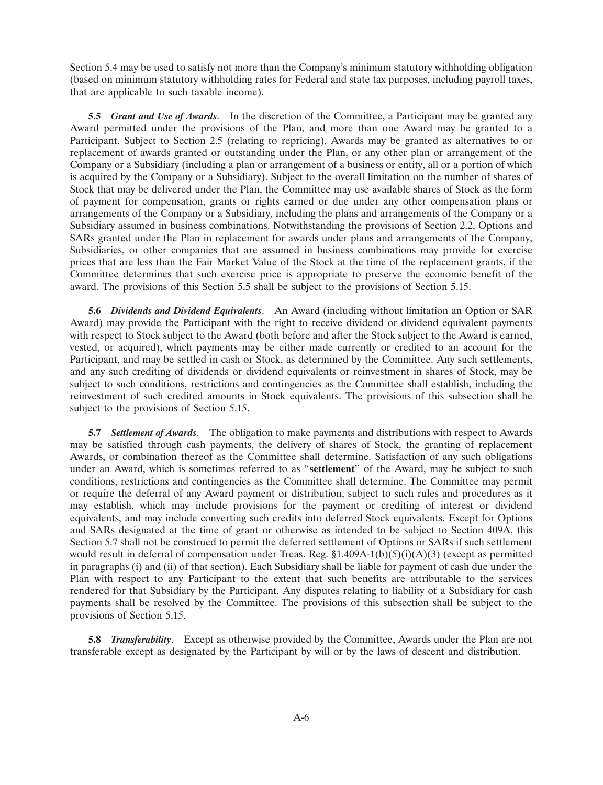Section 5.4 may be used to satisfy not more than the Company's minimum statutory withholding obligation (based on minimum statutory withholding rates for Federal and state tax purposes, including payroll taxes, that are applicable to such taxable income).

**5.5** *Grant and Use of Awards*. In the discretion of the Committee, a Participant may be granted any Award permitted under the provisions of the Plan, and more than one Award may be granted to a Participant. Subject to Section 2.5 (relating to repricing), Awards may be granted as alternatives to or replacement of awards granted or outstanding under the Plan, or any other plan or arrangement of the Company or a Subsidiary (including a plan or arrangement of a business or entity, all or a portion of which is acquired by the Company or a Subsidiary). Subject to the overall limitation on the number of shares of Stock that may be delivered under the Plan, the Committee may use available shares of Stock as the form of payment for compensation, grants or rights earned or due under any other compensation plans or arrangements of the Company or a Subsidiary, including the plans and arrangements of the Company or a Subsidiary assumed in business combinations. Notwithstanding the provisions of Section 2.2, Options and SARs granted under the Plan in replacement for awards under plans and arrangements of the Company, Subsidiaries, or other companies that are assumed in business combinations may provide for exercise prices that are less than the Fair Market Value of the Stock at the time of the replacement grants, if the Committee determines that such exercise price is appropriate to preserve the economic benefit of the award. The provisions of this Section 5.5 shall be subject to the provisions of Section 5.15.

**5.6** *Dividends and Dividend Equivalents*. An Award (including without limitation an Option or SAR Award) may provide the Participant with the right to receive dividend or dividend equivalent payments with respect to Stock subject to the Award (both before and after the Stock subject to the Award is earned, vested, or acquired), which payments may be either made currently or credited to an account for the Participant, and may be settled in cash or Stock, as determined by the Committee. Any such settlements, and any such crediting of dividends or dividend equivalents or reinvestment in shares of Stock, may be subject to such conditions, restrictions and contingencies as the Committee shall establish, including the reinvestment of such credited amounts in Stock equivalents. The provisions of this subsection shall be subject to the provisions of Section 5.15.

**5.7** *Settlement of Awards*. The obligation to make payments and distributions with respect to Awards may be satisfied through cash payments, the delivery of shares of Stock, the granting of replacement Awards, or combination thereof as the Committee shall determine. Satisfaction of any such obligations under an Award, which is sometimes referred to as ''**settlement**'' of the Award, may be subject to such conditions, restrictions and contingencies as the Committee shall determine. The Committee may permit or require the deferral of any Award payment or distribution, subject to such rules and procedures as it may establish, which may include provisions for the payment or crediting of interest or dividend equivalents, and may include converting such credits into deferred Stock equivalents. Except for Options and SARs designated at the time of grant or otherwise as intended to be subject to Section 409A, this Section 5.7 shall not be construed to permit the deferred settlement of Options or SARs if such settlement would result in deferral of compensation under Treas. Reg.  $\S1.409A-1(b)(5)(i)(A)(3)$  (except as permitted in paragraphs (i) and (ii) of that section). Each Subsidiary shall be liable for payment of cash due under the Plan with respect to any Participant to the extent that such benefits are attributable to the services rendered for that Subsidiary by the Participant. Any disputes relating to liability of a Subsidiary for cash payments shall be resolved by the Committee. The provisions of this subsection shall be subject to the provisions of Section 5.15.

**5.8** *Transferability*. Except as otherwise provided by the Committee, Awards under the Plan are not transferable except as designated by the Participant by will or by the laws of descent and distribution.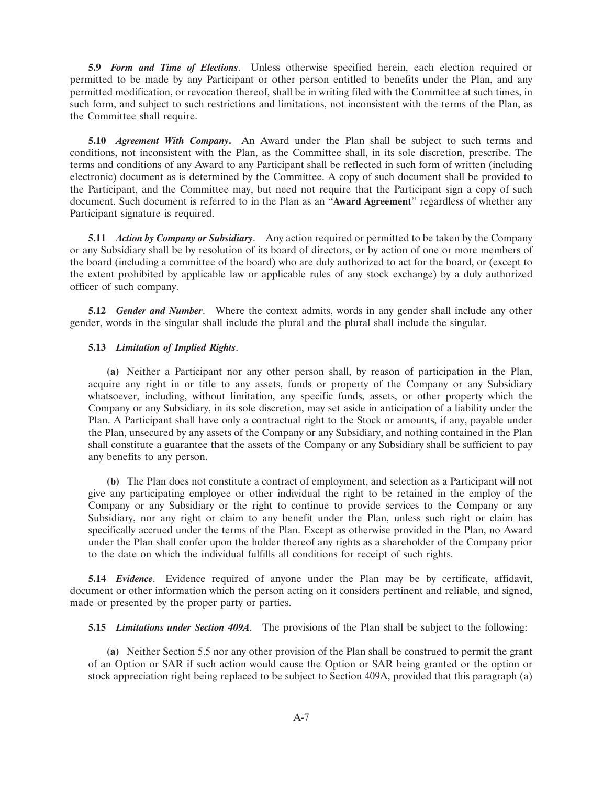**5.9** *Form and Time of Elections*. Unless otherwise specified herein, each election required or permitted to be made by any Participant or other person entitled to benefits under the Plan, and any permitted modification, or revocation thereof, shall be in writing filed with the Committee at such times, in such form, and subject to such restrictions and limitations, not inconsistent with the terms of the Plan, as the Committee shall require.

**5.10** *Agreement With Company***.** An Award under the Plan shall be subject to such terms and conditions, not inconsistent with the Plan, as the Committee shall, in its sole discretion, prescribe. The terms and conditions of any Award to any Participant shall be reflected in such form of written (including electronic) document as is determined by the Committee. A copy of such document shall be provided to the Participant, and the Committee may, but need not require that the Participant sign a copy of such document. Such document is referred to in the Plan as an ''**Award Agreement**'' regardless of whether any Participant signature is required.

**5.11** *Action by Company or Subsidiary*. Any action required or permitted to be taken by the Company or any Subsidiary shall be by resolution of its board of directors, or by action of one or more members of the board (including a committee of the board) who are duly authorized to act for the board, or (except to the extent prohibited by applicable law or applicable rules of any stock exchange) by a duly authorized officer of such company.

**5.12** *Gender and Number*. Where the context admits, words in any gender shall include any other gender, words in the singular shall include the plural and the plural shall include the singular.

## **5.13** *Limitation of Implied Rights*.

**(a)** Neither a Participant nor any other person shall, by reason of participation in the Plan, acquire any right in or title to any assets, funds or property of the Company or any Subsidiary whatsoever, including, without limitation, any specific funds, assets, or other property which the Company or any Subsidiary, in its sole discretion, may set aside in anticipation of a liability under the Plan. A Participant shall have only a contractual right to the Stock or amounts, if any, payable under the Plan, unsecured by any assets of the Company or any Subsidiary, and nothing contained in the Plan shall constitute a guarantee that the assets of the Company or any Subsidiary shall be sufficient to pay any benefits to any person.

**(b)** The Plan does not constitute a contract of employment, and selection as a Participant will not give any participating employee or other individual the right to be retained in the employ of the Company or any Subsidiary or the right to continue to provide services to the Company or any Subsidiary, nor any right or claim to any benefit under the Plan, unless such right or claim has specifically accrued under the terms of the Plan. Except as otherwise provided in the Plan, no Award under the Plan shall confer upon the holder thereof any rights as a shareholder of the Company prior to the date on which the individual fulfills all conditions for receipt of such rights.

**5.14** *Evidence*. Evidence required of anyone under the Plan may be by certificate, affidavit, document or other information which the person acting on it considers pertinent and reliable, and signed, made or presented by the proper party or parties.

**5.15** *Limitations under Section 409A*. The provisions of the Plan shall be subject to the following:

**(a)** Neither Section 5.5 nor any other provision of the Plan shall be construed to permit the grant of an Option or SAR if such action would cause the Option or SAR being granted or the option or stock appreciation right being replaced to be subject to Section 409A, provided that this paragraph (a)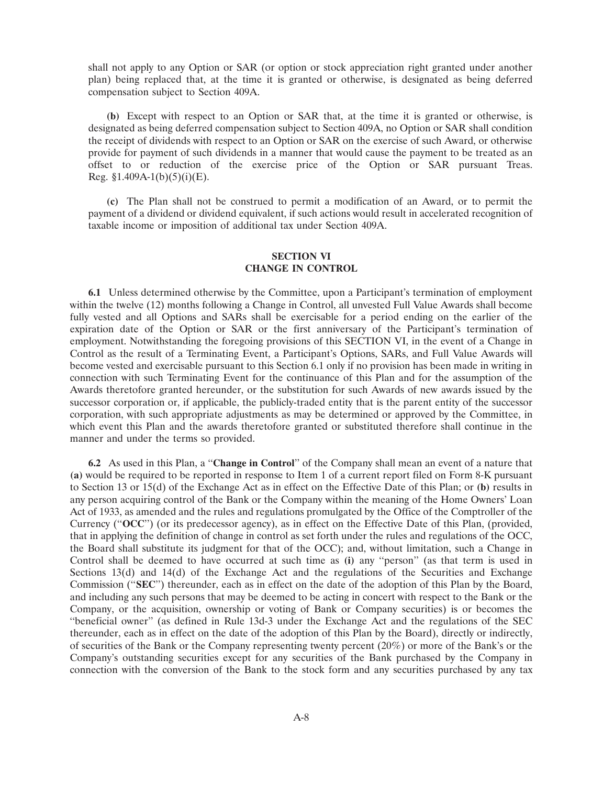shall not apply to any Option or SAR (or option or stock appreciation right granted under another plan) being replaced that, at the time it is granted or otherwise, is designated as being deferred compensation subject to Section 409A.

**(b)** Except with respect to an Option or SAR that, at the time it is granted or otherwise, is designated as being deferred compensation subject to Section 409A, no Option or SAR shall condition the receipt of dividends with respect to an Option or SAR on the exercise of such Award, or otherwise provide for payment of such dividends in a manner that would cause the payment to be treated as an offset to or reduction of the exercise price of the Option or SAR pursuant Treas. Reg.  $$1.409A-1(b)(5)(i)(E)$ .

**(c)** The Plan shall not be construed to permit a modification of an Award, or to permit the payment of a dividend or dividend equivalent, if such actions would result in accelerated recognition of taxable income or imposition of additional tax under Section 409A.

## **SECTION VI CHANGE IN CONTROL**

**6.1** Unless determined otherwise by the Committee, upon a Participant's termination of employment within the twelve (12) months following a Change in Control, all unvested Full Value Awards shall become fully vested and all Options and SARs shall be exercisable for a period ending on the earlier of the expiration date of the Option or SAR or the first anniversary of the Participant's termination of employment. Notwithstanding the foregoing provisions of this SECTION VI, in the event of a Change in Control as the result of a Terminating Event, a Participant's Options, SARs, and Full Value Awards will become vested and exercisable pursuant to this Section 6.1 only if no provision has been made in writing in connection with such Terminating Event for the continuance of this Plan and for the assumption of the Awards theretofore granted hereunder, or the substitution for such Awards of new awards issued by the successor corporation or, if applicable, the publicly-traded entity that is the parent entity of the successor corporation, with such appropriate adjustments as may be determined or approved by the Committee, in which event this Plan and the awards theretofore granted or substituted therefore shall continue in the manner and under the terms so provided.

**6.2** As used in this Plan, a ''**Change in Control**'' of the Company shall mean an event of a nature that **(a)** would be required to be reported in response to Item 1 of a current report filed on Form 8-K pursuant to Section 13 or 15(d) of the Exchange Act as in effect on the Effective Date of this Plan; or **(b)** results in any person acquiring control of the Bank or the Company within the meaning of the Home Owners' Loan Act of 1933, as amended and the rules and regulations promulgated by the Office of the Comptroller of the Currency (''**OCC**'') (or its predecessor agency), as in effect on the Effective Date of this Plan, (provided, that in applying the definition of change in control as set forth under the rules and regulations of the OCC, the Board shall substitute its judgment for that of the OCC); and, without limitation, such a Change in Control shall be deemed to have occurred at such time as **(i)** any ''person'' (as that term is used in Sections 13(d) and 14(d) of the Exchange Act and the regulations of the Securities and Exchange Commission (''**SEC**'') thereunder, each as in effect on the date of the adoption of this Plan by the Board, and including any such persons that may be deemed to be acting in concert with respect to the Bank or the Company, or the acquisition, ownership or voting of Bank or Company securities) is or becomes the ''beneficial owner'' (as defined in Rule 13d-3 under the Exchange Act and the regulations of the SEC thereunder, each as in effect on the date of the adoption of this Plan by the Board), directly or indirectly, of securities of the Bank or the Company representing twenty percent (20%) or more of the Bank's or the Company's outstanding securities except for any securities of the Bank purchased by the Company in connection with the conversion of the Bank to the stock form and any securities purchased by any tax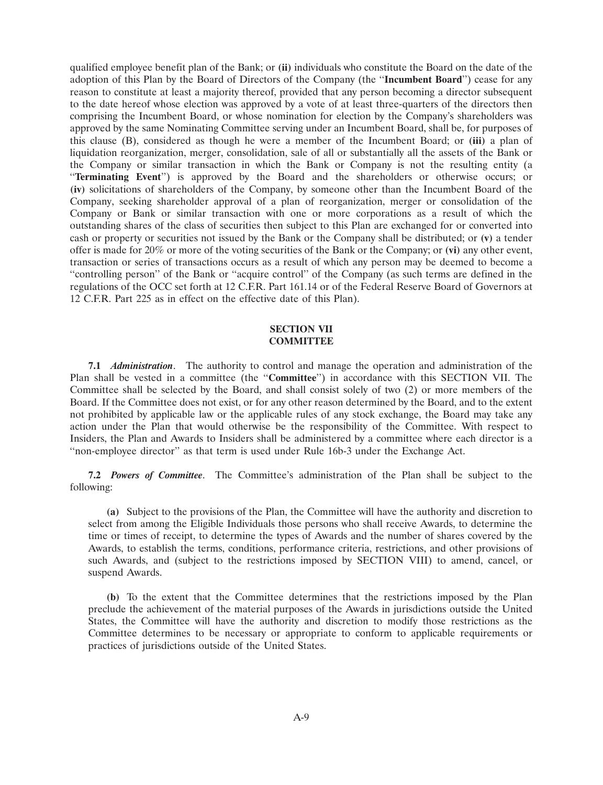qualified employee benefit plan of the Bank; or **(ii)** individuals who constitute the Board on the date of the adoption of this Plan by the Board of Directors of the Company (the ''**Incumbent Board**'') cease for any reason to constitute at least a majority thereof, provided that any person becoming a director subsequent to the date hereof whose election was approved by a vote of at least three-quarters of the directors then comprising the Incumbent Board, or whose nomination for election by the Company's shareholders was approved by the same Nominating Committee serving under an Incumbent Board, shall be, for purposes of this clause (B), considered as though he were a member of the Incumbent Board; or **(iii)** a plan of liquidation reorganization, merger, consolidation, sale of all or substantially all the assets of the Bank or the Company or similar transaction in which the Bank or Company is not the resulting entity (a ''**Terminating Event**'') is approved by the Board and the shareholders or otherwise occurs; or **(iv)** solicitations of shareholders of the Company, by someone other than the Incumbent Board of the Company, seeking shareholder approval of a plan of reorganization, merger or consolidation of the Company or Bank or similar transaction with one or more corporations as a result of which the outstanding shares of the class of securities then subject to this Plan are exchanged for or converted into cash or property or securities not issued by the Bank or the Company shall be distributed; or **(v)** a tender offer is made for 20% or more of the voting securities of the Bank or the Company; or **(vi)** any other event, transaction or series of transactions occurs as a result of which any person may be deemed to become a ''controlling person'' of the Bank or ''acquire control'' of the Company (as such terms are defined in the regulations of the OCC set forth at 12 C.F.R. Part 161.14 or of the Federal Reserve Board of Governors at 12 C.F.R. Part 225 as in effect on the effective date of this Plan).

## **SECTION VII COMMITTEE**

**7.1** *Administration*. The authority to control and manage the operation and administration of the Plan shall be vested in a committee (the ''**Committee**'') in accordance with this SECTION VII. The Committee shall be selected by the Board, and shall consist solely of two (2) or more members of the Board. If the Committee does not exist, or for any other reason determined by the Board, and to the extent not prohibited by applicable law or the applicable rules of any stock exchange, the Board may take any action under the Plan that would otherwise be the responsibility of the Committee. With respect to Insiders, the Plan and Awards to Insiders shall be administered by a committee where each director is a ''non-employee director'' as that term is used under Rule 16b-3 under the Exchange Act.

**7.2** *Powers of Committee*. The Committee's administration of the Plan shall be subject to the following:

**(a)** Subject to the provisions of the Plan, the Committee will have the authority and discretion to select from among the Eligible Individuals those persons who shall receive Awards, to determine the time or times of receipt, to determine the types of Awards and the number of shares covered by the Awards, to establish the terms, conditions, performance criteria, restrictions, and other provisions of such Awards, and (subject to the restrictions imposed by SECTION VIII) to amend, cancel, or suspend Awards.

**(b)** To the extent that the Committee determines that the restrictions imposed by the Plan preclude the achievement of the material purposes of the Awards in jurisdictions outside the United States, the Committee will have the authority and discretion to modify those restrictions as the Committee determines to be necessary or appropriate to conform to applicable requirements or practices of jurisdictions outside of the United States.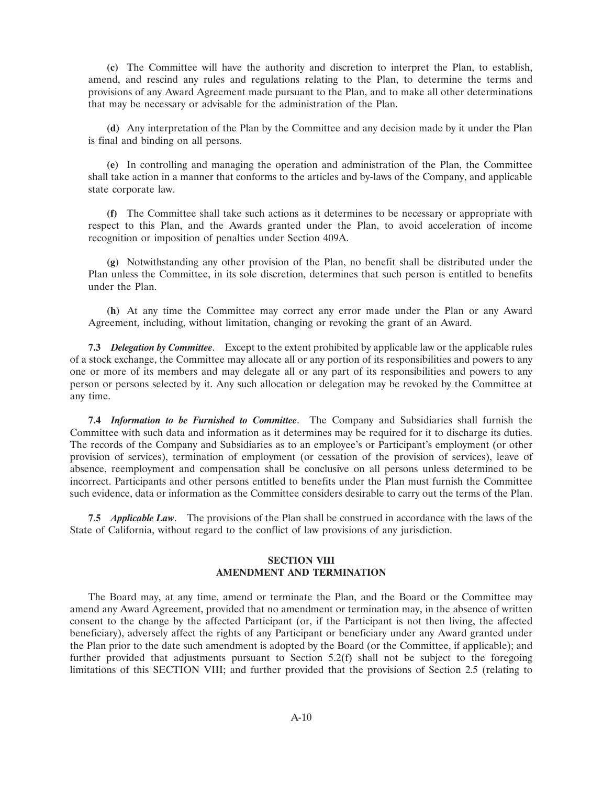**(c)** The Committee will have the authority and discretion to interpret the Plan, to establish, amend, and rescind any rules and regulations relating to the Plan, to determine the terms and provisions of any Award Agreement made pursuant to the Plan, and to make all other determinations that may be necessary or advisable for the administration of the Plan.

**(d)** Any interpretation of the Plan by the Committee and any decision made by it under the Plan is final and binding on all persons.

**(e)** In controlling and managing the operation and administration of the Plan, the Committee shall take action in a manner that conforms to the articles and by-laws of the Company, and applicable state corporate law.

**(f)** The Committee shall take such actions as it determines to be necessary or appropriate with respect to this Plan, and the Awards granted under the Plan, to avoid acceleration of income recognition or imposition of penalties under Section 409A.

**(g)** Notwithstanding any other provision of the Plan, no benefit shall be distributed under the Plan unless the Committee, in its sole discretion, determines that such person is entitled to benefits under the Plan.

**(h)** At any time the Committee may correct any error made under the Plan or any Award Agreement, including, without limitation, changing or revoking the grant of an Award.

**7.3** *Delegation by Committee*. Except to the extent prohibited by applicable law or the applicable rules of a stock exchange, the Committee may allocate all or any portion of its responsibilities and powers to any one or more of its members and may delegate all or any part of its responsibilities and powers to any person or persons selected by it. Any such allocation or delegation may be revoked by the Committee at any time.

**7.4** *Information to be Furnished to Committee*. The Company and Subsidiaries shall furnish the Committee with such data and information as it determines may be required for it to discharge its duties. The records of the Company and Subsidiaries as to an employee's or Participant's employment (or other provision of services), termination of employment (or cessation of the provision of services), leave of absence, reemployment and compensation shall be conclusive on all persons unless determined to be incorrect. Participants and other persons entitled to benefits under the Plan must furnish the Committee such evidence, data or information as the Committee considers desirable to carry out the terms of the Plan.

**7.5** *Applicable Law*. The provisions of the Plan shall be construed in accordance with the laws of the State of California, without regard to the conflict of law provisions of any jurisdiction.

## **SECTION VIII AMENDMENT AND TERMINATION**

The Board may, at any time, amend or terminate the Plan, and the Board or the Committee may amend any Award Agreement, provided that no amendment or termination may, in the absence of written consent to the change by the affected Participant (or, if the Participant is not then living, the affected beneficiary), adversely affect the rights of any Participant or beneficiary under any Award granted under the Plan prior to the date such amendment is adopted by the Board (or the Committee, if applicable); and further provided that adjustments pursuant to Section 5.2(f) shall not be subject to the foregoing limitations of this SECTION VIII; and further provided that the provisions of Section 2.5 (relating to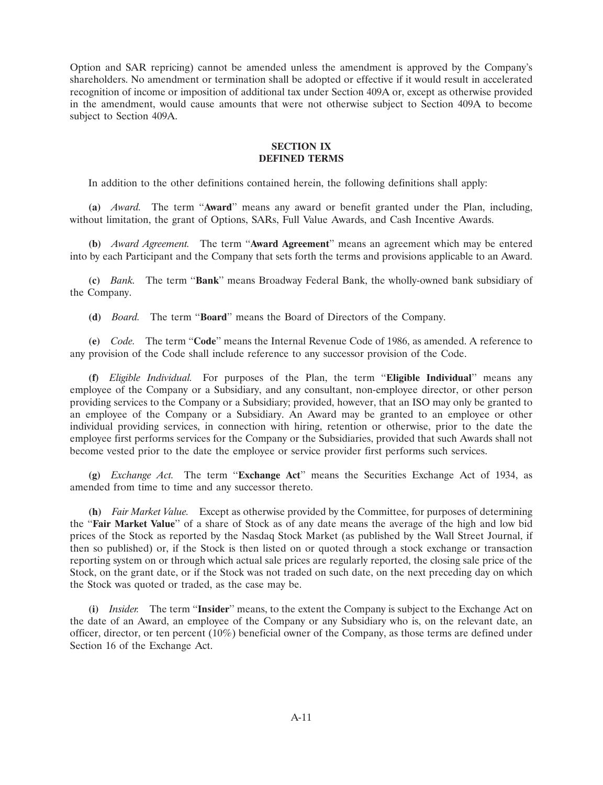Option and SAR repricing) cannot be amended unless the amendment is approved by the Company's shareholders. No amendment or termination shall be adopted or effective if it would result in accelerated recognition of income or imposition of additional tax under Section 409A or, except as otherwise provided in the amendment, would cause amounts that were not otherwise subject to Section 409A to become subject to Section 409A.

## **SECTION IX DEFINED TERMS**

In addition to the other definitions contained herein, the following definitions shall apply:

**(a)** *Award.* The term ''**Award**'' means any award or benefit granted under the Plan, including, without limitation, the grant of Options, SARs, Full Value Awards, and Cash Incentive Awards.

**(b)** *Award Agreement.* The term ''**Award Agreement**'' means an agreement which may be entered into by each Participant and the Company that sets forth the terms and provisions applicable to an Award.

**(c)** *Bank.* The term ''**Bank**'' means Broadway Federal Bank, the wholly-owned bank subsidiary of the Company.

**(d)** *Board.* The term ''**Board**'' means the Board of Directors of the Company.

**(e)** *Code.* The term ''**Code**'' means the Internal Revenue Code of 1986, as amended. A reference to any provision of the Code shall include reference to any successor provision of the Code.

**(f)** *Eligible Individual.* For purposes of the Plan, the term ''**Eligible Individual**'' means any employee of the Company or a Subsidiary, and any consultant, non-employee director, or other person providing services to the Company or a Subsidiary; provided, however, that an ISO may only be granted to an employee of the Company or a Subsidiary. An Award may be granted to an employee or other individual providing services, in connection with hiring, retention or otherwise, prior to the date the employee first performs services for the Company or the Subsidiaries, provided that such Awards shall not become vested prior to the date the employee or service provider first performs such services.

**(g)** *Exchange Act.* The term ''**Exchange Act**'' means the Securities Exchange Act of 1934, as amended from time to time and any successor thereto.

**(h)** *Fair Market Value.* Except as otherwise provided by the Committee, for purposes of determining the ''**Fair Market Value**'' of a share of Stock as of any date means the average of the high and low bid prices of the Stock as reported by the Nasdaq Stock Market (as published by the Wall Street Journal, if then so published) or, if the Stock is then listed on or quoted through a stock exchange or transaction reporting system on or through which actual sale prices are regularly reported, the closing sale price of the Stock, on the grant date, or if the Stock was not traded on such date, on the next preceding day on which the Stock was quoted or traded, as the case may be.

**(i)** *Insider.* The term ''**Insider**'' means, to the extent the Company is subject to the Exchange Act on the date of an Award, an employee of the Company or any Subsidiary who is, on the relevant date, an officer, director, or ten percent (10%) beneficial owner of the Company, as those terms are defined under Section 16 of the Exchange Act.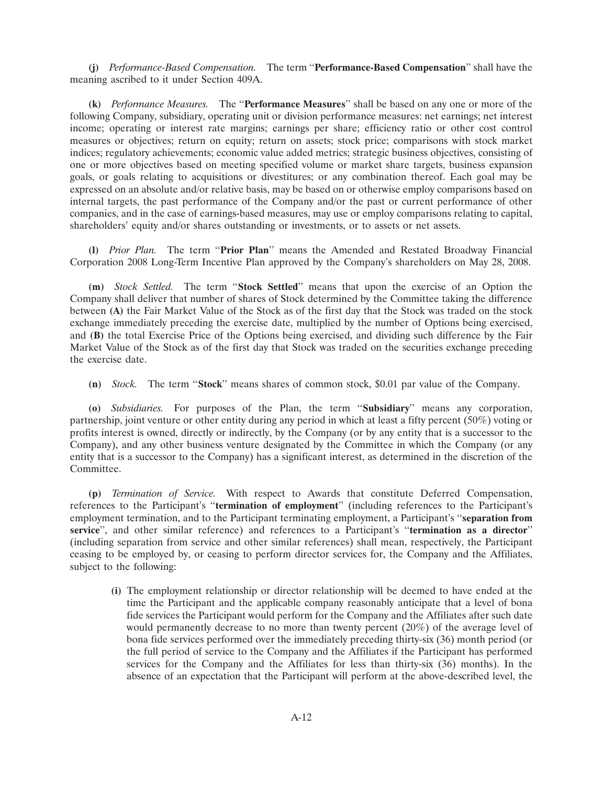**(j)** *Performance-Based Compensation.* The term ''**Performance-Based Compensation**'' shall have the meaning ascribed to it under Section 409A.

**(k)** *Performance Measures.* The ''**Performance Measures**'' shall be based on any one or more of the following Company, subsidiary, operating unit or division performance measures: net earnings; net interest income; operating or interest rate margins; earnings per share; efficiency ratio or other cost control measures or objectives; return on equity; return on assets; stock price; comparisons with stock market indices; regulatory achievements; economic value added metrics; strategic business objectives, consisting of one or more objectives based on meeting specified volume or market share targets, business expansion goals, or goals relating to acquisitions or divestitures; or any combination thereof. Each goal may be expressed on an absolute and/or relative basis, may be based on or otherwise employ comparisons based on internal targets, the past performance of the Company and/or the past or current performance of other companies, and in the case of earnings-based measures, may use or employ comparisons relating to capital, shareholders' equity and/or shares outstanding or investments, or to assets or net assets.

**(l)** *Prior Plan.* The term ''**Prior Plan**'' means the Amended and Restated Broadway Financial Corporation 2008 Long-Term Incentive Plan approved by the Company's shareholders on May 28, 2008.

**(m)** *Stock Settled.* The term ''**Stock Settled**'' means that upon the exercise of an Option the Company shall deliver that number of shares of Stock determined by the Committee taking the difference between **(A)** the Fair Market Value of the Stock as of the first day that the Stock was traded on the stock exchange immediately preceding the exercise date, multiplied by the number of Options being exercised, and **(B)** the total Exercise Price of the Options being exercised, and dividing such difference by the Fair Market Value of the Stock as of the first day that Stock was traded on the securities exchange preceding the exercise date.

**(n)** *Stock.* The term ''**Stock**'' means shares of common stock, \$0.01 par value of the Company.

**(o)** *Subsidiaries.* For purposes of the Plan, the term ''**Subsidiary**'' means any corporation, partnership, joint venture or other entity during any period in which at least a fifty percent (50%) voting or profits interest is owned, directly or indirectly, by the Company (or by any entity that is a successor to the Company), and any other business venture designated by the Committee in which the Company (or any entity that is a successor to the Company) has a significant interest, as determined in the discretion of the Committee.

**(p)** *Termination of Service.* With respect to Awards that constitute Deferred Compensation, references to the Participant's ''**termination of employment**'' (including references to the Participant's employment termination, and to the Participant terminating employment, a Participant's ''**separation from service**'', and other similar reference) and references to a Participant's ''**termination as a director**'' (including separation from service and other similar references) shall mean, respectively, the Participant ceasing to be employed by, or ceasing to perform director services for, the Company and the Affiliates, subject to the following:

**(i)** The employment relationship or director relationship will be deemed to have ended at the time the Participant and the applicable company reasonably anticipate that a level of bona fide services the Participant would perform for the Company and the Affiliates after such date would permanently decrease to no more than twenty percent (20%) of the average level of bona fide services performed over the immediately preceding thirty-six (36) month period (or the full period of service to the Company and the Affiliates if the Participant has performed services for the Company and the Affiliates for less than thirty-six (36) months). In the absence of an expectation that the Participant will perform at the above-described level, the